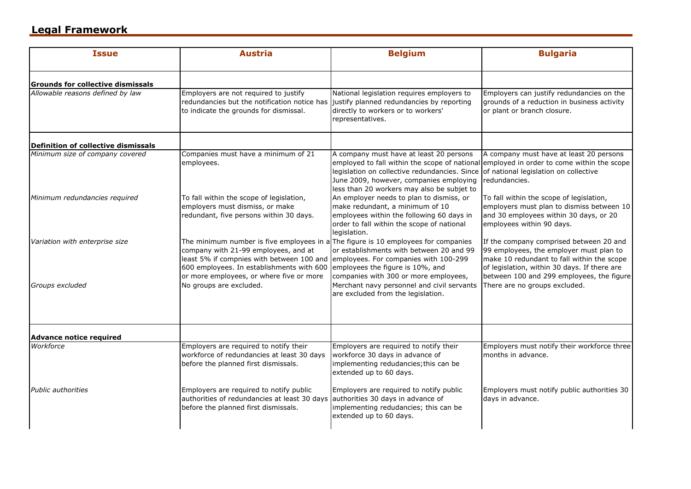## **Legal Framework**

| <b>Issue</b>                             | <b>Austria</b>                                                                                                                                                                                                                                                                                                                          | <b>Belgium</b>                                                                                                                                                                         | <b>Bulgaria</b>                                                                                                                                                                                                               |
|------------------------------------------|-----------------------------------------------------------------------------------------------------------------------------------------------------------------------------------------------------------------------------------------------------------------------------------------------------------------------------------------|----------------------------------------------------------------------------------------------------------------------------------------------------------------------------------------|-------------------------------------------------------------------------------------------------------------------------------------------------------------------------------------------------------------------------------|
| <b>Grounds for collective dismissals</b> |                                                                                                                                                                                                                                                                                                                                         |                                                                                                                                                                                        |                                                                                                                                                                                                                               |
| Allowable reasons defined by law         | Employers are not required to justify<br>redundancies but the notification notice has justify planned redundancies by reporting<br>to indicate the grounds for dismissal.                                                                                                                                                               | National legislation requires employers to<br>directly to workers or to workers'<br>representatives.                                                                                   | Employers can justify redundancies on the<br>grounds of a reduction in business activity<br>or plant or branch closure.                                                                                                       |
| Definition of collective dismissals      |                                                                                                                                                                                                                                                                                                                                         |                                                                                                                                                                                        |                                                                                                                                                                                                                               |
| Minimum size of company covered          | Companies must have a minimum of 21<br>employees.                                                                                                                                                                                                                                                                                       | A company must have at least 20 persons<br>legislation on collective redundancies. Since<br>June 2009, however, companies employing<br>less than 20 workers may also be subjet to      | A company must have at least 20 persons<br>employed to fall within the scope of national employed in order to come within the scope<br>of national legislation on collective<br>redundancies.                                 |
| Minimum redundancies required            | To fall within the scope of legislation,<br>employers must dismiss, or make<br>redundant, five persons within 30 days.                                                                                                                                                                                                                  | An employer needs to plan to dismiss, or<br>make redundant, a minimum of 10<br>employees within the following 60 days in<br>order to fall within the scope of national<br>legislation. | To fall within the scope of legislation,<br>employers must plan to dismiss between 10<br>and 30 employees within 30 days, or 20<br>employees within 90 days.                                                                  |
| Variation with enterprise size           | The minimum number is five employees in a The figure is 10 employees for companies<br>company with 21-99 employees, and at<br>least 5% if compnies with between 100 and employees. For companies with 100-299<br>600 employees. In establishments with 600 employees the figure is 10%, and<br>or more employees, or where five or more | or establishments with between 20 and 99<br>companies with 300 or more employees,                                                                                                      | If the company comprised between 20 and<br>99 employees, the employer must plan to<br>make 10 redundant to fall within the scope<br>of legislation, within 30 days. If there are<br>between 100 and 299 employees, the figure |
| Groups excluded                          | No groups are excluded.                                                                                                                                                                                                                                                                                                                 | Merchant navy personnel and civil servants<br>are excluded from the legislation.                                                                                                       | There are no groups excluded.                                                                                                                                                                                                 |
| <b>Advance notice required</b>           |                                                                                                                                                                                                                                                                                                                                         |                                                                                                                                                                                        |                                                                                                                                                                                                                               |
| Workforce                                | Employers are required to notify their<br>workforce of redundancies at least 30 days<br>before the planned first dismissals.                                                                                                                                                                                                            | Employers are required to notify their<br>workforce 30 days in advance of<br>implementing redudancies; this can be<br>extended up to 60 days.                                          | Employers must notify their workforce three<br>months in advance.                                                                                                                                                             |
| <b>Public authorities</b>                | Employers are required to notify public<br>authorities of redundancies at least 30 days<br>before the planned first dismissals.                                                                                                                                                                                                         | Employers are required to notify public<br>authorities 30 days in advance of<br>implementing redudancies; this can be<br>extended up to 60 days.                                       | Employers must notify public authorities 30<br>days in advance.                                                                                                                                                               |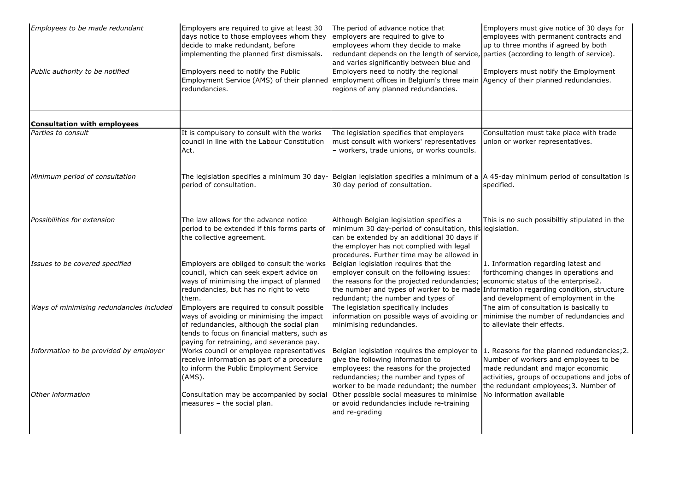| Employees to be made redundant           | Employers are required to give at least 30<br>days notice to those employees whom they<br>decide to make redundant, before<br>implementing the planned first dismissals.                                                          | The period of advance notice that<br>employers are required to give to<br>employees whom they decide to make<br>redundant depends on the length of service, parties (according to length of service).<br>and varies significantly between blue and              | Employers must give notice of 30 days for<br>employees with permanent contracts and<br>up to three months if agreed by both                                                                                         |
|------------------------------------------|-----------------------------------------------------------------------------------------------------------------------------------------------------------------------------------------------------------------------------------|-----------------------------------------------------------------------------------------------------------------------------------------------------------------------------------------------------------------------------------------------------------------|---------------------------------------------------------------------------------------------------------------------------------------------------------------------------------------------------------------------|
| Public authority to be notified          | Employers need to notify the Public<br>redundancies.                                                                                                                                                                              | Employers need to notify the regional<br>Employment Service (AMS) of their planned employment offices in Belgium's three main Agency of their planned redundancies.<br>regions of any planned redundancies.                                                     | Employers must notify the Employment                                                                                                                                                                                |
| <b>Consultation with employees</b>       |                                                                                                                                                                                                                                   |                                                                                                                                                                                                                                                                 |                                                                                                                                                                                                                     |
| Parties to consult                       | It is compulsory to consult with the works<br>council in line with the Labour Constitution<br>Act.                                                                                                                                | The legislation specifies that employers<br>must consult with workers' representatives<br>- workers, trade unions, or works councils.                                                                                                                           | Consultation must take place with trade<br>union or worker representatives.                                                                                                                                         |
| Minimum period of consultation           | period of consultation.                                                                                                                                                                                                           | The legislation specifies a minimum 30 day- Belgian legislation specifies a minimum of a $\vert$ A 45-day minimum period of consultation is<br>30 day period of consultation.                                                                                   | specified.                                                                                                                                                                                                          |
| Possibilities for extension              | The law allows for the advance notice<br>period to be extended if this forms parts of<br>the collective agreement.                                                                                                                | Although Belgian legislation specifies a<br>minimum 30 day-period of consultation, this legislation.<br>can be extended by an additional 30 days if<br>the employer has not complied with legal<br>procedures. Further time may be allowed in                   | This is no such possibiltiy stipulated in the                                                                                                                                                                       |
| Issues to be covered specified           | Employers are obliged to consult the works<br>council, which can seek expert advice on<br>ways of minimising the impact of planned<br>redundancies, but has no right to veto<br>them.                                             | Belgian legislation reguires that the<br>employer consult on the following issues:<br>the reasons for the projected redundancies;<br>the number and types of worker to be made Information regarding condition, structure<br>redundant; the number and types of | 1. Information regarding latest and<br>forthcoming changes in operations and<br>economic status of the enterprise2.<br>and development of employment in the                                                         |
| Ways of minimising redundancies included | Employers are required to consult possible<br>ways of avoiding or minimising the impact<br>of redundancies, although the social plan<br>tends to focus on financial matters, such as<br>paying for retraining, and severance pay. | The legislation specifically includes<br>information on possible ways of avoiding or<br>minimising redundancies.                                                                                                                                                | The aim of consultation is basically to<br>minimise the number of redundancies and<br>to alleviate their effects.                                                                                                   |
| Information to be provided by employer   | Works council or employee representatives<br>receive information as part of a procedure<br>to inform the Public Employment Service<br>(AMS).                                                                                      | Belgian legislation requires the employer to<br>give the following information to<br>employees: the reasons for the projected<br>redundancies; the number and types of<br>worker to be made redundant; the number                                               | 1. Reasons for the planned redundancies; 2.<br>Number of workers and employees to be<br>made redundant and major economic<br>activities, groups of occupations and jobs of<br>the redundant employees; 3. Number of |
| Other information                        | Consultation may be accompanied by social<br>measures - the social plan.                                                                                                                                                          | Other possible social measures to minimise<br>or avoid redundancies include re-training<br>and re-grading                                                                                                                                                       | No information available                                                                                                                                                                                            |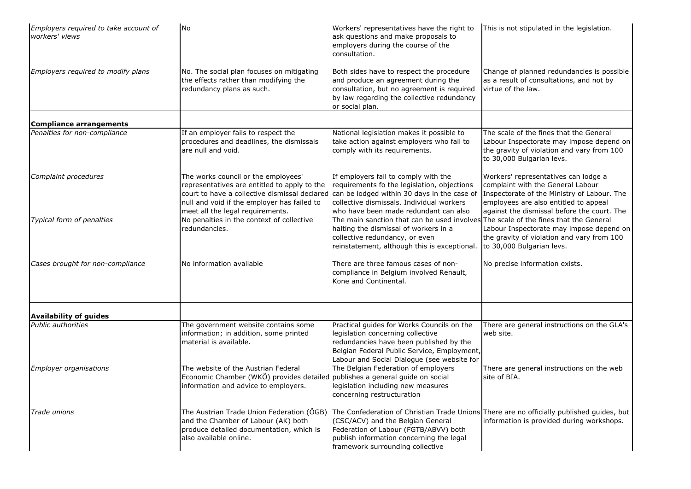| Employers required to take account of<br>workers' views | <b>No</b>                                                                                                                                                                                                               | Workers' representatives have the right to<br>ask questions and make proposals to<br>employers during the course of the<br>consultation.                                                                                                                | This is not stipulated in the legislation.                                                                                                                                                                       |
|---------------------------------------------------------|-------------------------------------------------------------------------------------------------------------------------------------------------------------------------------------------------------------------------|---------------------------------------------------------------------------------------------------------------------------------------------------------------------------------------------------------------------------------------------------------|------------------------------------------------------------------------------------------------------------------------------------------------------------------------------------------------------------------|
| Employers required to modify plans                      | No. The social plan focuses on mitigating<br>the effects rather than modifying the<br>redundancy plans as such.                                                                                                         | Both sides have to respect the procedure<br>and produce an agreement during the<br>consultation, but no agreement is required<br>by law regarding the collective redundancy<br>or social plan.                                                          | Change of planned redundancies is possible<br>as a result of consultations, and not by<br>virtue of the law.                                                                                                     |
| <b>Compliance arrangements</b>                          |                                                                                                                                                                                                                         |                                                                                                                                                                                                                                                         |                                                                                                                                                                                                                  |
| Penalties for non-compliance                            | If an employer fails to respect the<br>procedures and deadlines, the dismissals<br>are null and void.                                                                                                                   | National legislation makes it possible to<br>take action against employers who fail to<br>comply with its requirements.                                                                                                                                 | The scale of the fines that the General<br>Labour Inspectorate may impose depend on<br>the gravity of violation and vary from 100<br>to 30,000 Bulgarian levs.                                                   |
| Complaint procedures                                    | The works council or the employees'<br>representatives are entitled to apply to the<br>court to have a collective dismissal declared<br>null and void if the employer has failed to<br>meet all the legal requirements. | If employers fail to comply with the<br>requirements fo the legislation, objections<br>can be lodged within 30 days in the case of<br>collective dismissals. Individual workers<br>who have been made redundant can also                                | Workers' representatives can lodge a<br>complaint with the General Labour<br>Inspectorate of the Ministry of Labour. The<br>employees are also entitled to appeal<br>against the dismissal before the court. The |
| Typical form of penalties                               | No penalties in the context of collective<br>redundancies.                                                                                                                                                              | The main sanction that can be used involves<br>halting the dismissal of workers in a<br>collective redundancy, or even<br>reinstatement, although this is exceptional. to 30,000 Bulgarian levs.                                                        | The scale of the fines that the General<br>Labour Inspectorate may impose depend on<br>the gravity of violation and vary from 100                                                                                |
| Cases brought for non-compliance                        | No information available                                                                                                                                                                                                | There are three famous cases of non-<br>compliance in Belgium involved Renault,<br>Kone and Continental.                                                                                                                                                | No precise information exists.                                                                                                                                                                                   |
| <b>Availability of guides</b>                           |                                                                                                                                                                                                                         |                                                                                                                                                                                                                                                         |                                                                                                                                                                                                                  |
| Public authorities                                      | The government website contains some<br>information; in addition, some printed<br>material is available.                                                                                                                | Practical guides for Works Councils on the<br>legislation concerning collective<br>redundancies have been published by the<br>Belgian Federal Public Service, Employment,<br>Labour and Social Dialogue (see website for                                | There are general instructions on the GLA's<br>web site.                                                                                                                                                         |
| <b>Employer organisations</b>                           | The website of the Austrian Federal<br>Economic Chamber (WKÖ) provides detailed publishes a general guide on social<br>information and advice to employers.                                                             | The Belgian Federation of employers<br>legislation including new measures<br>concerning restructuration                                                                                                                                                 | There are general instructions on the web<br>site of BIA.                                                                                                                                                        |
| Trade unions                                            | The Austrian Trade Union Federation (ÖGB)<br>and the Chamber of Labour (AK) both<br>produce detailed documentation, which is<br>also available online.                                                                  | The Confederation of Christian Trade Unions There are no officially published guides, but<br>(CSC/ACV) and the Belgian General<br>Federation of Labour (FGTB/ABVV) both<br>publish information concerning the legal<br>framework surrounding collective | information is provided during workshops.                                                                                                                                                                        |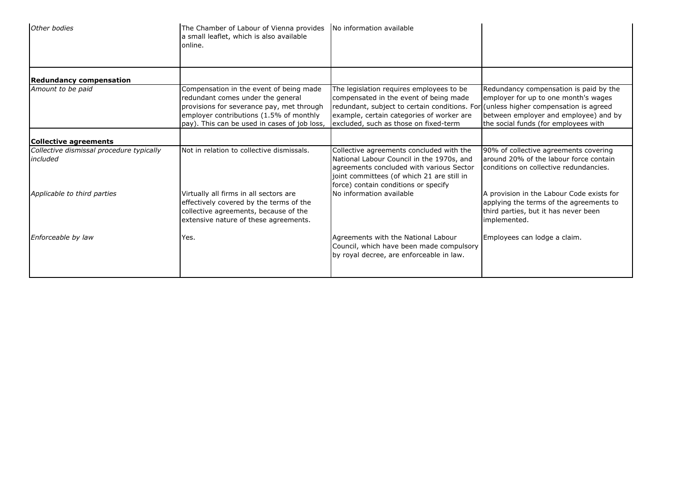| Other bodies                                         | The Chamber of Labour of Vienna provides<br>a small leaflet, which is also available<br>online.                                                                                                                      | No information available                                                                                                                                                                                                                                        |                                                                                                                                                                 |
|------------------------------------------------------|----------------------------------------------------------------------------------------------------------------------------------------------------------------------------------------------------------------------|-----------------------------------------------------------------------------------------------------------------------------------------------------------------------------------------------------------------------------------------------------------------|-----------------------------------------------------------------------------------------------------------------------------------------------------------------|
| <b>Redundancy compensation</b>                       |                                                                                                                                                                                                                      |                                                                                                                                                                                                                                                                 |                                                                                                                                                                 |
| Amount to be paid                                    | Compensation in the event of being made<br>redundant comes under the general<br>provisions for severance pay, met through<br>employer contributions (1.5% of monthly<br>pay). This can be used in cases of job loss, | The legislation requires employees to be<br>compensated in the event of being made<br>redundant, subject to certain conditions. For (unless higher compensation is agreed<br>example, certain categories of worker are<br>excluded, such as those on fixed-term | Redundancy compensation is paid by the<br>employer for up to one month's wages<br>between employer and employee) and by<br>the social funds (for employees with |
| Collective agreements                                |                                                                                                                                                                                                                      |                                                                                                                                                                                                                                                                 |                                                                                                                                                                 |
| Collective dismissal procedure typically<br>included | Not in relation to collective dismissals.                                                                                                                                                                            | Collective agreements concluded with the<br>National Labour Council in the 1970s, and<br>agreements concluded with various Sector<br>joint committees (of which 21 are still in<br>force) contain conditions or specify                                         | 90% of collective agreements covering<br>around 20% of the labour force contain<br>conditions on collective redundancies.                                       |
| Applicable to third parties                          | Virtually all firms in all sectors are<br>effectively covered by the terms of the<br>collective agreements, because of the<br>extensive nature of these agreements.                                                  | No information available                                                                                                                                                                                                                                        | A provision in the Labour Code exists for<br>applying the terms of the agreements to<br>third parties, but it has never been<br>implemented.                    |
| Enforceable by law                                   | Yes.                                                                                                                                                                                                                 | Agreements with the National Labour<br>Council, which have been made compulsory<br>by royal decree, are enforceable in law.                                                                                                                                     | Employees can lodge a claim.                                                                                                                                    |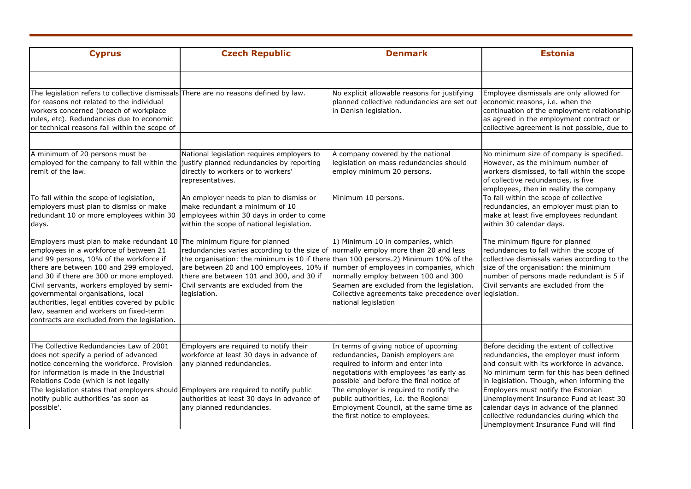| <b>Cyprus</b>                                                                                                                                                                                                                                                                                                                                                                                                                                     | <b>Czech Republic</b>                                                                                                                                                                                                                                                                                                                                                                               | <b>Denmark</b>                                                                                                                                                                                           | <b>Estonia</b>                                                                                                                                                                                                                                           |
|---------------------------------------------------------------------------------------------------------------------------------------------------------------------------------------------------------------------------------------------------------------------------------------------------------------------------------------------------------------------------------------------------------------------------------------------------|-----------------------------------------------------------------------------------------------------------------------------------------------------------------------------------------------------------------------------------------------------------------------------------------------------------------------------------------------------------------------------------------------------|----------------------------------------------------------------------------------------------------------------------------------------------------------------------------------------------------------|----------------------------------------------------------------------------------------------------------------------------------------------------------------------------------------------------------------------------------------------------------|
|                                                                                                                                                                                                                                                                                                                                                                                                                                                   |                                                                                                                                                                                                                                                                                                                                                                                                     |                                                                                                                                                                                                          |                                                                                                                                                                                                                                                          |
| The legislation refers to collective dismissals There are no reasons defined by law.<br>for reasons not related to the individual<br>workers concerned (breach of workplace<br>rules, etc). Redundancies due to economic<br>or technical reasons fall within the scope of                                                                                                                                                                         |                                                                                                                                                                                                                                                                                                                                                                                                     | No explicit allowable reasons for justifying<br>planned collective redundancies are set out<br>in Danish legislation.                                                                                    | Employee dismissals are only allowed for<br>economic reasons, i.e. when the<br>continuation of the employment relationship<br>as agreed in the employment contract or<br>collective agreement is not possible, due to                                    |
| A minimum of 20 persons must be<br>employed for the company to fall within the justify planned redundancies by reporting<br>remit of the law.                                                                                                                                                                                                                                                                                                     | National legislation requires employers to<br>directly to workers or to workers'<br>representatives.                                                                                                                                                                                                                                                                                                | A company covered by the national<br>legislation on mass redundancies should<br>employ minimum 20 persons.                                                                                               | No minimum size of company is specified.<br>However, as the minimum number of<br>workers dismissed, to fall within the scope<br>of collective redundancies, is five<br>employees, then in reality the company                                            |
| To fall within the scope of legislation,<br>employers must plan to dismiss or make<br>redundant 10 or more employees within 30<br>days.                                                                                                                                                                                                                                                                                                           | An employer needs to plan to dismiss or<br>make redundant a minimum of 10<br>employees within 30 days in order to come<br>within the scope of national legislation.                                                                                                                                                                                                                                 | Minimum 10 persons.                                                                                                                                                                                      | To fall within the scope of collective<br>redundancies, an employer must plan to<br>make at least five employees redundant<br>within 30 calendar days.                                                                                                   |
| Employers must plan to make redundant 10<br>employees in a workforce of between 21<br>and 99 persons, 10% of the workforce if<br>there are between 100 and 299 employed,<br>and 30 if there are 300 or more employed.<br>Civil servants, workers employed by semi-<br>governmental organisations, local<br>authorities, legal entities covered by public<br>law, seamen and workers on fixed-term<br>contracts are excluded from the legislation. | The minimum figure for planned<br>redundancies varies according to the size of normally employ more than 20 and less<br>the organisation: the minimum is 10 if there than 100 persons.2) Minimum 10% of the<br>are between 20 and 100 employees, 10% if number of employees in companies, which<br>there are between 101 and 300, and 30 if<br>Civil servants are excluded from the<br>legislation. | 1) Minimum 10 in companies, which<br>normally employ between 100 and 300<br>Seamen are excluded from the legislation.<br>Collective agreements take precedence over legislation.<br>national legislation | The minimum figure for planned<br>redundancies to fall within the scope of<br>collective dismissals varies according to the<br>size of the organisation: the minimum<br>number of persons made redundant is 5 if<br>Civil servants are excluded from the |
|                                                                                                                                                                                                                                                                                                                                                                                                                                                   |                                                                                                                                                                                                                                                                                                                                                                                                     |                                                                                                                                                                                                          |                                                                                                                                                                                                                                                          |
| The Collective Redundancies Law of 2001<br>does not specify a period of advanced<br>notice concerning the workforce. Provision<br>for information is made in the Industrial<br>Relations Code (which is not legally                                                                                                                                                                                                                               | Employers are required to notify their<br>workforce at least 30 days in advance of<br>any planned redundancies.                                                                                                                                                                                                                                                                                     | In terms of giving notice of upcoming<br>redundancies, Danish employers are<br>required to inform and enter into<br>negotations with employees 'as early as<br>possible' and before the final notice of  | Before deciding the extent of collective<br>redundancies, the employer must inform<br>and consult with its workforce in advance.<br>No minimum term for this has been defined<br>in legislation. Though, when informing the                              |
| The legislation states that employers should Employers are required to notify public<br>notify public authorities 'as soon as<br>possible'.                                                                                                                                                                                                                                                                                                       | authorities at least 30 days in advance of<br>any planned redundancies.                                                                                                                                                                                                                                                                                                                             | The employer is required to notify the<br>public authorities, i.e. the Regional<br>Employment Council, at the same time as<br>the first notice to employees.                                             | Employers must notify the Estonian<br>Unemployment Insurance Fund at least 30<br>calendar days in advance of the planned<br>collective redundancies during which the<br>Unemployment Insurance Fund will find                                            |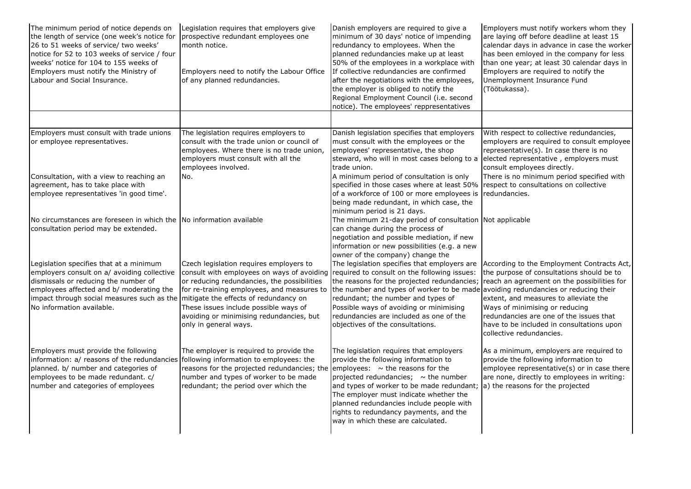| The minimum period of notice depends on<br>the length of service (one week's notice for<br>26 to 51 weeks of service/ two weeks'<br>notice for 52 to 103 weeks of service / four<br>weeks' notice for 104 to 155 weeks of<br>Employers must notify the Ministry of<br>Labour and Social Insurance. | Legislation requires that employers give<br>prospective redundant employees one<br>month notice.<br>Employers need to notify the Labour Office<br>of any planned redundancies.                                                                                                                   | Danish employers are required to give a<br>minimum of 30 days' notice of impending<br>redundancy to employees. When the<br>planned redundancies make up at least<br>50% of the employees in a workplace with<br>If collective redundancies are confirmed<br>after the negotiations with the employees,<br>the employer is obliged to notify the<br>Regional Employment Council (i.e. second<br>notice). The employees' reppresentatives | Employers must notify workers whom they<br>are laying off before deadline at least 15<br>calendar days in advance in case the worker<br>has been emloyed in the company for less<br>than one year; at least 30 calendar days in<br>Employers are required to notify the<br>Unemployment Insurance Fund<br>(Töötukassa).               |
|----------------------------------------------------------------------------------------------------------------------------------------------------------------------------------------------------------------------------------------------------------------------------------------------------|--------------------------------------------------------------------------------------------------------------------------------------------------------------------------------------------------------------------------------------------------------------------------------------------------|-----------------------------------------------------------------------------------------------------------------------------------------------------------------------------------------------------------------------------------------------------------------------------------------------------------------------------------------------------------------------------------------------------------------------------------------|---------------------------------------------------------------------------------------------------------------------------------------------------------------------------------------------------------------------------------------------------------------------------------------------------------------------------------------|
|                                                                                                                                                                                                                                                                                                    |                                                                                                                                                                                                                                                                                                  |                                                                                                                                                                                                                                                                                                                                                                                                                                         |                                                                                                                                                                                                                                                                                                                                       |
| Employers must consult with trade unions<br>or employee representatives.                                                                                                                                                                                                                           | The legislation requires employers to<br>consult with the trade union or council of<br>employees. Where there is no trade union,<br>employers must consult with all the<br>employees involved.                                                                                                   | Danish legislation specifies that employers<br>must consult with the employees or the<br>employees' representative, the shop<br>steward, who will in most cases belong to a<br>trade union.                                                                                                                                                                                                                                             | With respect to collective redundancies,<br>employers are required to consult employee<br>representative(s). In case there is no<br>elected representative, employers must<br>consult employees directly.                                                                                                                             |
| Consultation, with a view to reaching an<br>agreement, has to take place with<br>employee representatives 'in good time'.                                                                                                                                                                          | No.                                                                                                                                                                                                                                                                                              | A minimum period of consultation is only<br>specified in those cases where at least 50%<br>of a workforce of 100 or more employees is<br>being made redundant, in which case, the<br>minimum period is 21 days.                                                                                                                                                                                                                         | There is no minimum period specified with<br>respect to consultations on collective<br>redundancies.                                                                                                                                                                                                                                  |
| No circumstances are foreseen in which the No information available<br>consultation period may be extended.                                                                                                                                                                                        |                                                                                                                                                                                                                                                                                                  | The minimum 21-day period of consultation Not applicable<br>can change during the process of<br>negotiation and possible mediation, if new<br>information or new possibilities (e.g. a new<br>owner of the company) change the                                                                                                                                                                                                          |                                                                                                                                                                                                                                                                                                                                       |
| Legislation specifies that at a minimum<br>employers consult on a/ avoiding collective<br>dismissals or reducing the number of<br>employees affected and b/ moderating the<br>impact through social measures such as the mitigate the effects of redundancy on<br>No information available.        | Czech legislation requires employers to<br>consult with employees on ways of avoiding<br>or reducing redundancies, the possibilities<br>for re-training employees, and measures to<br>These issues include possible ways of<br>avoiding or minimising redundancies, but<br>only in general ways. | The legislation specifies that employers are<br>required to consult on the following issues:<br>the reasons for the projected redundancies;<br>the number and types of worker to be made avoiding redundancies or reducing their<br>redundant; the number and types of<br>Possible ways of avoiding or minimising<br>redundancies are included as one of the<br>objectives of the consultations.                                        | According to the Employment Contracts Act,<br>the purpose of consultations should be to<br>reach an agreement on the possibilities for<br>extent, and measures to alleviate the<br>Ways of minimising or reducing<br>redundancies are one of the issues that<br>have to be included in consultations upon<br>collective redundancies. |
| Employers must provide the following<br>information: a/ reasons of the redundancies following information to employees: the<br>planned. b/ number and categories of<br>employees to be made redundant. c/<br>number and categories of employees                                                    | The employer is required to provide the<br>reasons for the projected redundancies; the employees: $\sim$ the reasons for the<br>number and types of worker to be made<br>redundant; the period over which the                                                                                    | The legislation requires that employers<br>provide the following information to<br>projected redundancies; $\sim$ the number<br>and types of worker to be made redundant;<br>The employer must indicate whether the<br>planned redundancies include people with<br>rights to redundancy payments, and the<br>way in which these are calculated.                                                                                         | As a minimum, employers are required to<br>provide the following information to<br>employee representative(s) or in case there<br>are none, directly to employees in writing:<br>a) the reasons for the projected                                                                                                                     |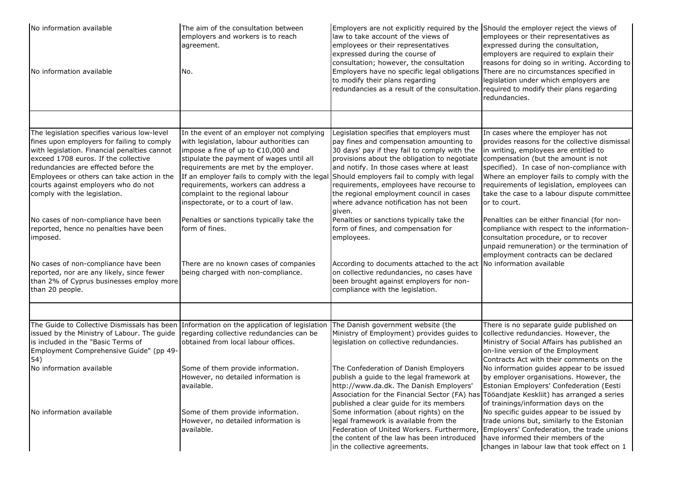| No information available<br>No information available                                                                                                                                                                                                                                                                                                                                                                                                                                                                                                                                             | The aim of the consultation between<br>employers and workers is to reach<br>agreement.<br>No.                                                                                                                                                                                                                                                                                                                                                                                                                                     | Employers are not explicitly required by the Should the employer reject the views of<br>law to take account of the views of<br>employees or their representatives<br>expressed during the course of<br>consultation; however, the consultation<br>Employers have no specific legal obligations<br>to modify their plans regarding<br>redundancies as a result of the consultation.                                                                                                                                                                                                                                                                                                                                                | employees or their representatives as<br>expressed during the consultation,<br>employers are required to explain their<br>reasons for doing so in writing. According to<br>There are no circumstances specified in<br>legislation under which employers are<br>required to modify their plans regarding<br>redundancies.                                                                                                                                                                                                                                                                                   |
|--------------------------------------------------------------------------------------------------------------------------------------------------------------------------------------------------------------------------------------------------------------------------------------------------------------------------------------------------------------------------------------------------------------------------------------------------------------------------------------------------------------------------------------------------------------------------------------------------|-----------------------------------------------------------------------------------------------------------------------------------------------------------------------------------------------------------------------------------------------------------------------------------------------------------------------------------------------------------------------------------------------------------------------------------------------------------------------------------------------------------------------------------|-----------------------------------------------------------------------------------------------------------------------------------------------------------------------------------------------------------------------------------------------------------------------------------------------------------------------------------------------------------------------------------------------------------------------------------------------------------------------------------------------------------------------------------------------------------------------------------------------------------------------------------------------------------------------------------------------------------------------------------|------------------------------------------------------------------------------------------------------------------------------------------------------------------------------------------------------------------------------------------------------------------------------------------------------------------------------------------------------------------------------------------------------------------------------------------------------------------------------------------------------------------------------------------------------------------------------------------------------------|
|                                                                                                                                                                                                                                                                                                                                                                                                                                                                                                                                                                                                  |                                                                                                                                                                                                                                                                                                                                                                                                                                                                                                                                   |                                                                                                                                                                                                                                                                                                                                                                                                                                                                                                                                                                                                                                                                                                                                   |                                                                                                                                                                                                                                                                                                                                                                                                                                                                                                                                                                                                            |
| The legislation specifies various low-level<br>fines upon employers for failing to comply<br>with legislation. Financial penalties cannot<br>exceed 1708 euros. If the collective<br>redundancies are effected before the<br>Employees or others can take action in the<br>courts against employers who do not<br>comply with the legislation.<br>No cases of non-compliance have been<br>reported, hence no penalties have been<br>imposed.<br>No cases of non-compliance have been<br>reported, nor are any likely, since fewer<br>than 2% of Cyprus businesses employ more<br>than 20 people. | In the event of an employer not complying<br>with legislation, labour authorities can<br>impose a fine of up to €10,000 and<br>stipulate the payment of wages until all<br>requirements are met by the employer.<br>If an employer fails to comply with the legal<br>requirements, workers can address a<br>complaint to the regional labour<br>inspectorate, or to a court of law.<br>Penalties or sanctions typically take the<br>form of fines.<br>There are no known cases of companies<br>being charged with non-compliance. | Legislation specifies that employers must<br>pay fines and compensation amounting to<br>30 days' pay if they fail to comply with the<br>provisions about the obligation to negotiate<br>and notify. In those cases where at least<br>Should employers fail to comply with legal<br>requirements, employees have recourse to<br>the regional employment council in cases<br>where advance notification has not been<br>given.<br>Penalties or sanctions typically take the<br>form of fines, and compensation for<br>employees.<br>According to documents attached to the act No information available<br>on collective redundancies, no cases have<br>been brought against employers for non-<br>compliance with the legislation. | In cases where the employer has not<br>provides reasons for the collective dismissal<br>in writing, employees are entitled to<br>compensation (but the amount is not<br>specified). In case of non-compliance with<br>Where an employer fails to comply with the<br>requirements of legislation, employees can<br>take the case to a labour dispute committee<br>or to court.<br>Penalties can be either financial (for non-<br>compliance with respect to the information-<br>consultation procedure, or to recover<br>unpaid remuneration) or the termination of<br>employment contracts can be declared |
|                                                                                                                                                                                                                                                                                                                                                                                                                                                                                                                                                                                                  |                                                                                                                                                                                                                                                                                                                                                                                                                                                                                                                                   |                                                                                                                                                                                                                                                                                                                                                                                                                                                                                                                                                                                                                                                                                                                                   |                                                                                                                                                                                                                                                                                                                                                                                                                                                                                                                                                                                                            |
| The Guide to Collective Dismissals has been<br>issued by the Ministry of Labour. The guide<br>is included in the "Basic Terms of<br>Employment Comprehensive Guide" (pp 49-<br>54)<br>No information available                                                                                                                                                                                                                                                                                                                                                                                   | Information on the application of legislation<br>regarding collective redundancies can be<br>obtained from local labour offices.<br>Some of them provide information.<br>However, no detailed information is                                                                                                                                                                                                                                                                                                                      | The Danish government website (the<br>Ministry of Employment) provides guides to<br>legislation on collective redundancies.<br>The Confederation of Danish Employers<br>publish a guide to the legal framework at                                                                                                                                                                                                                                                                                                                                                                                                                                                                                                                 | There is no separate guide published on<br>collective redundancies. However, the<br>Ministry of Social Affairs has published an<br>on-line version of the Employment<br>Contracts Act with their comments on the<br>No information guides appear to be issued<br>by employer organisations. However, the                                                                                                                                                                                                                                                                                                   |
| No information available                                                                                                                                                                                                                                                                                                                                                                                                                                                                                                                                                                         | available.<br>Some of them provide information.<br>However, no detailed information is<br>available.                                                                                                                                                                                                                                                                                                                                                                                                                              | http://www.da.dk. The Danish Employers'<br>Association for the Financial Sector (FA) has<br>published a clear guide for its members<br>Some information (about rights) on the<br>legal framework is available from the<br>Federation of United Workers. Furthermore,                                                                                                                                                                                                                                                                                                                                                                                                                                                              | Estonian Employers' Confederation (Eesti<br>Tööandjate Keskliit) has arranged a series<br>of trainings/information days on the<br>No specific guides appear to be issued by<br>trade unions but, similarly to the Estonian<br>Employers' Confederation, the trade unions                                                                                                                                                                                                                                                                                                                                   |
|                                                                                                                                                                                                                                                                                                                                                                                                                                                                                                                                                                                                  |                                                                                                                                                                                                                                                                                                                                                                                                                                                                                                                                   | the content of the law has been introduced<br>in the collective agreements.                                                                                                                                                                                                                                                                                                                                                                                                                                                                                                                                                                                                                                                       | have informed their members of the<br>changes in labour law that took effect on 1                                                                                                                                                                                                                                                                                                                                                                                                                                                                                                                          |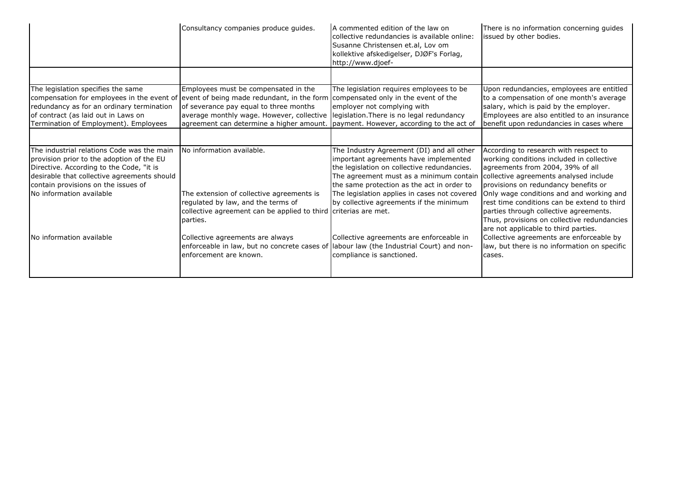|                                                                                                                                                                                                                                                       | Consultancy companies produce guides.                                                                                                                                                                                                                           | A commented edition of the law on<br>collective redundancies is available online:<br>Susanne Christensen et.al, Lov om<br>kollektive afskedigelser, DJØF's Forlag,<br>http://www.djoef-                                                                                                                               | There is no information concerning quides<br>issued by other bodies.                                                                                                                                                                                                                                                                          |
|-------------------------------------------------------------------------------------------------------------------------------------------------------------------------------------------------------------------------------------------------------|-----------------------------------------------------------------------------------------------------------------------------------------------------------------------------------------------------------------------------------------------------------------|-----------------------------------------------------------------------------------------------------------------------------------------------------------------------------------------------------------------------------------------------------------------------------------------------------------------------|-----------------------------------------------------------------------------------------------------------------------------------------------------------------------------------------------------------------------------------------------------------------------------------------------------------------------------------------------|
|                                                                                                                                                                                                                                                       |                                                                                                                                                                                                                                                                 |                                                                                                                                                                                                                                                                                                                       |                                                                                                                                                                                                                                                                                                                                               |
| The legislation specifies the same<br>compensation for employees in the event of<br>redundancy as for an ordinary termination<br>of contract (as laid out in Laws on<br>Termination of Employment). Employees                                         | Employees must be compensated in the<br>event of being made redundant, in the form<br>of severance pay equal to three months<br>average monthly wage. However, collective<br>agreement can determine a higher amount. payment. However, according to the act of | The legislation reguires employees to be.<br>compensated only in the event of the<br>employer not complying with<br>legislation. There is no legal redundancy                                                                                                                                                         | Upon redundancies, employees are entitled<br>to a compensation of one month's average<br>salary, which is paid by the employer.<br>Employees are also entitled to an insurance<br>benefit upon redundancies in cases where                                                                                                                    |
| The industrial relations Code was the main<br>provision prior to the adoption of the EU<br>Directive. According to the Code, "it is<br>desirable that collective agreements should<br>contain provisions on the issues of<br>No information available | No information available.<br>The extension of collective agreements is<br>regulated by law, and the terms of<br>collective agreement can be applied to third criterias are met.                                                                                 | The Industry Agreement (DI) and all other<br>important agreements have implemented<br>the legislation on collective redundancies.<br>The agreement must as a minimum contain<br>the same protection as the act in order to<br>The legislation applies in cases not covered<br>by collective agreements if the minimum | According to research with respect to<br>working conditions included in collective<br>agreements from 2004, 39% of all<br>collective agreements analysed include<br>provisions on redundancy benefits or<br>Only wage conditions and and working and<br>rest time conditions can be extend to third<br>parties through collective agreements. |
| No information available                                                                                                                                                                                                                              | parties.<br>Collective agreements are always<br>enforceable in law, but no concrete cases of<br>enforcement are known.                                                                                                                                          | Collective agreements are enforceable in<br>labour law (the Industrial Court) and non-<br>compliance is sanctioned.                                                                                                                                                                                                   | Thus, provisions on collective redundancies<br>are not applicable to third parties.<br>Collective agreements are enforceable by<br>law, but there is no information on specific<br>cases.                                                                                                                                                     |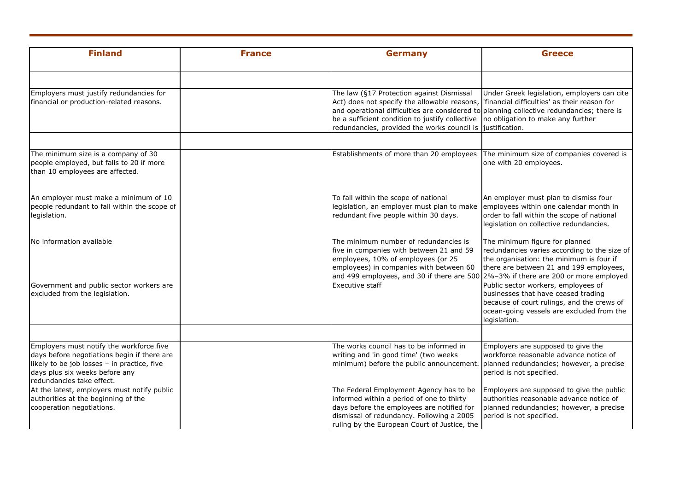| <b>Finland</b>                                                                                                                                                                                        | <b>France</b> | <b>Germany</b>                                                                                                                                                                                                                                                                           | <b>Greece</b>                                                                                                                                                                                                                    |
|-------------------------------------------------------------------------------------------------------------------------------------------------------------------------------------------------------|---------------|------------------------------------------------------------------------------------------------------------------------------------------------------------------------------------------------------------------------------------------------------------------------------------------|----------------------------------------------------------------------------------------------------------------------------------------------------------------------------------------------------------------------------------|
|                                                                                                                                                                                                       |               |                                                                                                                                                                                                                                                                                          |                                                                                                                                                                                                                                  |
| Employers must justify redundancies for<br>financial or production-related reasons.                                                                                                                   |               | The law (§17 Protection against Dismissal<br>Act) does not specify the allowable reasons,<br>and operational difficulties are considered to planning collective redundancies; there is<br>be a sufficient condition to justify collective<br>redundancies, provided the works council is | Under Greek legislation, employers can cite<br>'financial difficulties' as their reason for<br>no obligation to make any further<br>justification.                                                                               |
|                                                                                                                                                                                                       |               |                                                                                                                                                                                                                                                                                          |                                                                                                                                                                                                                                  |
| The minimum size is a company of 30<br>people employed, but falls to 20 if more<br>than 10 employees are affected.                                                                                    |               | Establishments of more than 20 employees                                                                                                                                                                                                                                                 | The minimum size of companies covered is<br>one with 20 employees.                                                                                                                                                               |
| An employer must make a minimum of 10<br>people redundant to fall within the scope of<br>legislation.                                                                                                 |               | To fall within the scope of national<br>legislation, an employer must plan to make<br>redundant five people within 30 days.                                                                                                                                                              | An employer must plan to dismiss four<br>employees within one calendar month in<br>order to fall within the scope of national<br>legislation on collective redundancies.                                                         |
| No information available                                                                                                                                                                              |               | The minimum number of redundancies is<br>five in companies with between 21 and 59<br>employees, 10% of employees (or 25<br>employees) in companies with between 60                                                                                                                       | The minimum figure for planned<br>redundancies varies according to the size of<br>the organisation: the minimum is four if<br>there are between 21 and 199 employees,                                                            |
| Government and public sector workers are<br>excluded from the legislation.                                                                                                                            |               | and 499 employees, and 30 if there are 500<br>Executive staff                                                                                                                                                                                                                            | 2%-3% if there are 200 or more employed<br>Public sector workers, employees of<br>businesses that have ceased trading<br>because of court rulings, and the crews of<br>ocean-going vessels are excluded from the<br>legislation. |
|                                                                                                                                                                                                       |               |                                                                                                                                                                                                                                                                                          |                                                                                                                                                                                                                                  |
| Employers must notify the workforce five<br>days before negotiations begin if there are<br>likely to be job losses - in practice, five<br>days plus six weeks before any<br>redundancies take effect. |               | The works council has to be informed in<br>writing and 'in good time' (two weeks<br>minimum) before the public announcement.                                                                                                                                                             | Employers are supposed to give the<br>workforce reasonable advance notice of<br>planned redundancies; however, a precise<br>period is not specified.                                                                             |
| At the latest, employers must notify public<br>authorities at the beginning of the<br>cooperation negotiations.                                                                                       |               | The Federal Employment Agency has to be<br>informed within a period of one to thirty<br>days before the employees are notified for<br>dismissal of redundancy. Following a 2005<br>ruling by the European Court of Justice, the                                                          | Employers are supposed to give the public<br>authorities reasonable advance notice of<br>planned redundancies; however, a precise<br>period is not specified.                                                                    |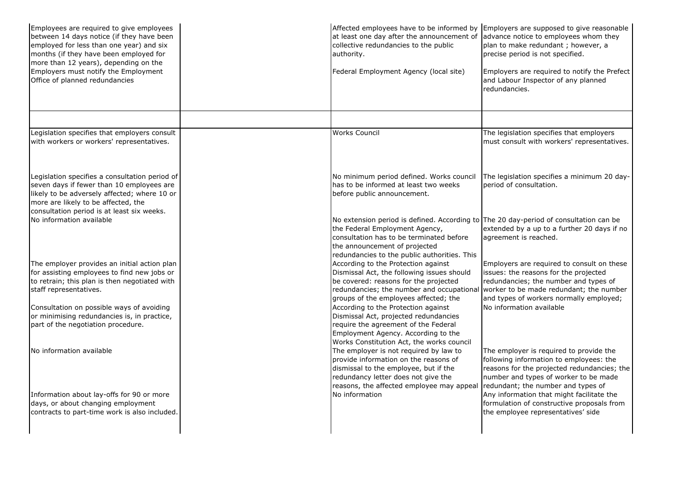| Employees are required to give employees<br>between 14 days notice (if they have been<br>employed for less than one year) and six<br>months (if they have been employed for<br>more than 12 years), depending on the | Employers are supposed to give reasonable<br>Affected employees have to be informed by<br>at least one day after the announcement of<br>advance notice to employees whom they<br>collective redundancies to the public<br>plan to make redundant; however, a<br>precise period is not specified.<br>authority.                                |
|----------------------------------------------------------------------------------------------------------------------------------------------------------------------------------------------------------------------|-----------------------------------------------------------------------------------------------------------------------------------------------------------------------------------------------------------------------------------------------------------------------------------------------------------------------------------------------|
| Employers must notify the Employment<br>Office of planned redundancies                                                                                                                                               | Federal Employment Agency (local site)<br>Employers are required to notify the Prefect<br>and Labour Inspector of any planned<br>redundancies.                                                                                                                                                                                                |
| Legislation specifies that employers consult                                                                                                                                                                         | <b>Works Council</b><br>The legislation specifies that employers                                                                                                                                                                                                                                                                              |
| with workers or workers' representatives.                                                                                                                                                                            | must consult with workers' representatives.                                                                                                                                                                                                                                                                                                   |
| Legislation specifies a consultation period of                                                                                                                                                                       | The legislation specifies a minimum 20 day-<br>No minimum period defined. Works council                                                                                                                                                                                                                                                       |
| seven days if fewer than 10 employees are<br>likely to be adversely affected; where 10 or<br>more are likely to be affected, the<br>consultation period is at least six weeks.                                       | period of consultation.<br>has to be informed at least two weeks<br>before public announcement.                                                                                                                                                                                                                                               |
| No information available                                                                                                                                                                                             | No extension period is defined. According to The 20 day-period of consultation can be<br>the Federal Employment Agency,<br>extended by a up to a further 20 days if no<br>consultation has to be terminated before<br>agreement is reached.<br>the announcement of projected<br>redundancies to the public authorities. This                  |
| The employer provides an initial action plan<br>for assisting employees to find new jobs or                                                                                                                          | According to the Protection against<br>Employers are required to consult on these<br>Dismissal Act, the following issues should<br>issues: the reasons for the projected                                                                                                                                                                      |
| to retrain; this plan is then negotiated with<br>staff representatives.                                                                                                                                              | be covered: reasons for the projected<br>redundancies; the number and types of<br>redundancies; the number and occupational<br>worker to be made redundant; the number                                                                                                                                                                        |
| Consultation on possible ways of avoiding                                                                                                                                                                            | and types of workers normally employed;<br>groups of the employees affected; the<br>No information available<br>According to the Protection against                                                                                                                                                                                           |
| or minimising redundancies is, in practice,                                                                                                                                                                          | Dismissal Act, projected redundancies                                                                                                                                                                                                                                                                                                         |
| part of the negotiation procedure.                                                                                                                                                                                   | require the agreement of the Federal<br>Employment Agency. According to the<br>Works Constitution Act, the works council                                                                                                                                                                                                                      |
| No information available                                                                                                                                                                                             | The employer is not required by law to<br>The employer is required to provide the<br>provide information on the reasons of<br>following information to employees: the<br>dismissal to the employee, but if the<br>reasons for the projected redundancies; the<br>redundancy letter does not give the<br>number and types of worker to be made |
| Information about lay-offs for 90 or more<br>days, or about changing employment                                                                                                                                      | reasons, the affected employee may appeal<br>redundant; the number and types of<br>No information<br>Any information that might facilitate the<br>formulation of constructive proposals from                                                                                                                                                  |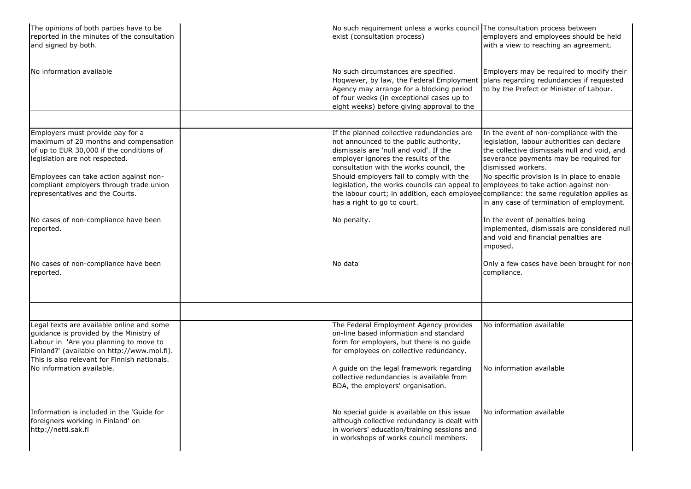| The opinions of both parties have to be<br>reported in the minutes of the consultation<br>and signed by both.                                                                                                                                | No such requirement unless a works council The consultation process between<br>exist (consultation process)                                                                                                                                                                                                                                          | employers and employees should be held<br>with a view to reaching an agreement.                                                                                                                                                                       |
|----------------------------------------------------------------------------------------------------------------------------------------------------------------------------------------------------------------------------------------------|------------------------------------------------------------------------------------------------------------------------------------------------------------------------------------------------------------------------------------------------------------------------------------------------------------------------------------------------------|-------------------------------------------------------------------------------------------------------------------------------------------------------------------------------------------------------------------------------------------------------|
| No information available                                                                                                                                                                                                                     | No such circumstances are specified.<br>Hoqwever, by law, the Federal Employment<br>Agency may arrange for a blocking period<br>of four weeks (in exceptional cases up to<br>eight weeks) before giving approval to the                                                                                                                              | Employers may be required to modify their<br>plans regarding redundancies if requested<br>to by the Prefect or Minister of Labour.                                                                                                                    |
|                                                                                                                                                                                                                                              |                                                                                                                                                                                                                                                                                                                                                      |                                                                                                                                                                                                                                                       |
| Employers must provide pay for a<br>maximum of 20 months and compensation<br>of up to EUR 30,000 if the conditions of<br>legislation are not respected.<br>Employees can take action against non-<br>compliant employers through trade union | If the planned collective redundancies are<br>not announced to the public authority,<br>dismissals are 'null and void'. If the<br>employer ignores the results of the<br>consultation with the works council, the<br>Should employers fail to comply with the<br>legislation, the works councils can appeal to employees to take action against non- | In the event of non-compliance with the<br>legislation, labour authorities can declare<br>the collective dismissals null and void, and<br>severance payments may be required for<br>dismissed workers.<br>No specific provision is in place to enable |
| representatives and the Courts.                                                                                                                                                                                                              | has a right to go to court.                                                                                                                                                                                                                                                                                                                          | the labour court; in addition, each employee compliance: the same regulation applies as<br>in any case of termination of employment.                                                                                                                  |
| No cases of non-compliance have been<br>reported.                                                                                                                                                                                            | No penalty.                                                                                                                                                                                                                                                                                                                                          | In the event of penalties being<br>implemented, dismissals are considered null<br>and void and financial penalties are<br>imposed.                                                                                                                    |
| No cases of non-compliance have been<br>reported.                                                                                                                                                                                            | No data                                                                                                                                                                                                                                                                                                                                              | Only a few cases have been brought for non-<br>compliance.                                                                                                                                                                                            |
|                                                                                                                                                                                                                                              |                                                                                                                                                                                                                                                                                                                                                      |                                                                                                                                                                                                                                                       |
| Legal texts are available online and some<br>guidance is provided by the Ministry of<br>Labour in 'Are you planning to move to<br>Finland?' (available on http://www.mol.fi).<br>This is also relevant for Finnish nationals.                | The Federal Employment Agency provides<br>on-line based information and standard<br>form for employers, but there is no guide<br>for employees on collective redundancy.                                                                                                                                                                             | No information available                                                                                                                                                                                                                              |
| No information available.                                                                                                                                                                                                                    | A guide on the legal framework regarding<br>collective redundancies is available from<br>BDA, the employers' organisation.                                                                                                                                                                                                                           | No information available                                                                                                                                                                                                                              |
| Information is included in the 'Guide for<br>foreigners working in Finland' on<br>http://netti.sak.fi                                                                                                                                        | No special guide is available on this issue<br>although collective redundancy is dealt with<br>in workers' education/training sessions and<br>in workshops of works council members.                                                                                                                                                                 | No information available                                                                                                                                                                                                                              |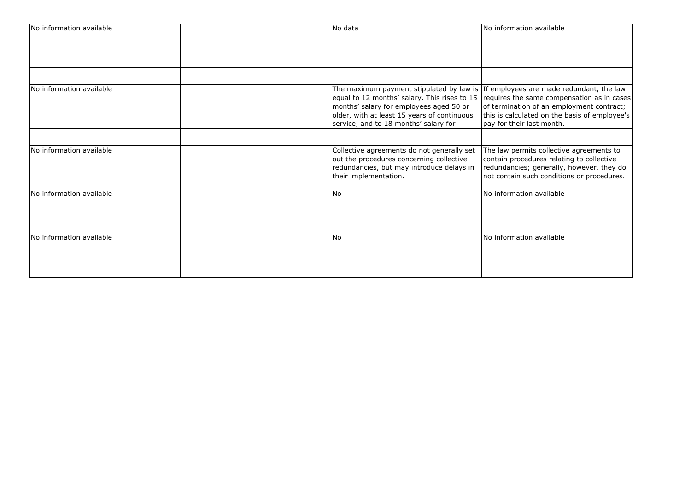| No information available | No data                                                                                                                                                                                                              | No information available                                                                                                                                                                                               |
|--------------------------|----------------------------------------------------------------------------------------------------------------------------------------------------------------------------------------------------------------------|------------------------------------------------------------------------------------------------------------------------------------------------------------------------------------------------------------------------|
|                          |                                                                                                                                                                                                                      |                                                                                                                                                                                                                        |
| No information available | The maximum payment stipulated by law is If employees are made redundant, the law<br>months' salary for employees aged 50 or<br>older, with at least 15 years of continuous<br>service, and to 18 months' salary for | equal to 12 months' salary. This rises to 15 $ $ requires the same compensation as in cases<br>of termination of an employment contract;<br>this is calculated on the basis of employee's<br>pay for their last month. |
|                          |                                                                                                                                                                                                                      |                                                                                                                                                                                                                        |
| No information available | Collective agreements do not generally set<br>out the procedures concerning collective<br>redundancies, but may introduce delays in<br>their implementation.                                                         | The law permits collective agreements to<br>contain procedures relating to collective<br>redundancies; generally, however, they do<br>not contain such conditions or procedures.                                       |
| No information available | ۱No                                                                                                                                                                                                                  | No information available                                                                                                                                                                                               |
| No information available | l No                                                                                                                                                                                                                 | No information available                                                                                                                                                                                               |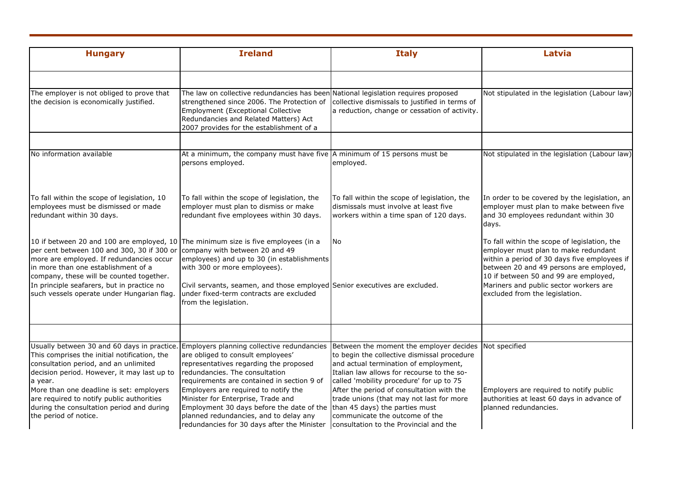| <b>Hungary</b>                                                                                                                                                                                                                                                                                                                                               | <b>Ireland</b>                                                                                                                                                                                                                                                                                                                                                                                                                                                                                        | <b>Italy</b>                                                                                                                                                                                                                                                                                                                                         | Latvia                                                                                                                                                                                                                                                                                               |
|--------------------------------------------------------------------------------------------------------------------------------------------------------------------------------------------------------------------------------------------------------------------------------------------------------------------------------------------------------------|-------------------------------------------------------------------------------------------------------------------------------------------------------------------------------------------------------------------------------------------------------------------------------------------------------------------------------------------------------------------------------------------------------------------------------------------------------------------------------------------------------|------------------------------------------------------------------------------------------------------------------------------------------------------------------------------------------------------------------------------------------------------------------------------------------------------------------------------------------------------|------------------------------------------------------------------------------------------------------------------------------------------------------------------------------------------------------------------------------------------------------------------------------------------------------|
| The employer is not obliged to prove that<br>the decision is economically justified.                                                                                                                                                                                                                                                                         | The law on collective redundancies has been National legislation requires proposed<br>strengthened since 2006. The Protection of<br>Employment (Exceptional Collective<br>Redundancies and Related Matters) Act<br>2007 provides for the establishment of a                                                                                                                                                                                                                                           | collective dismissals to justified in terms of<br>a reduction, change or cessation of activity.                                                                                                                                                                                                                                                      | Not stipulated in the legislation (Labour law)                                                                                                                                                                                                                                                       |
| No information available                                                                                                                                                                                                                                                                                                                                     | At a minimum, the company must have five A minimum of 15 persons must be<br>persons employed.                                                                                                                                                                                                                                                                                                                                                                                                         | employed.                                                                                                                                                                                                                                                                                                                                            | Not stipulated in the legislation (Labour law)                                                                                                                                                                                                                                                       |
| To fall within the scope of legislation, 10<br>employees must be dismissed or made<br>redundant within 30 days.                                                                                                                                                                                                                                              | To fall within the scope of legislation, the<br>employer must plan to dismiss or make<br>redundant five employees within 30 days.                                                                                                                                                                                                                                                                                                                                                                     | To fall within the scope of legislation, the<br>dismissals must involve at least five<br>workers within a time span of 120 days.                                                                                                                                                                                                                     | In order to be covered by the legislation, an<br>employer must plan to make between five<br>and 30 employees redundant within 30<br>days.                                                                                                                                                            |
| 10 if between 20 and 100 are employed, 10 The minimum size is five employees (in a<br>per cent between 100 and 300, 30 if 300 or<br>more are employed. If redundancies occur<br>in more than one establishment of a<br>company, these will be counted together.<br>In principle seafarers, but in practice no<br>such vessels operate under Hungarian flag.  | company with between 20 and 49<br>employees) and up to 30 (in establishments<br>with 300 or more employees).<br>Civil servants, seamen, and those employed Senior executives are excluded.<br>under fixed-term contracts are excluded<br>from the legislation.                                                                                                                                                                                                                                        | <b>No</b>                                                                                                                                                                                                                                                                                                                                            | To fall within the scope of legislation, the<br>employer must plan to make redundant<br>within a period of 30 days five employees if<br>between 20 and 49 persons are employed,<br>10 if between 50 and 99 are employed,<br>Mariners and public sector workers are<br>excluded from the legislation. |
|                                                                                                                                                                                                                                                                                                                                                              |                                                                                                                                                                                                                                                                                                                                                                                                                                                                                                       |                                                                                                                                                                                                                                                                                                                                                      |                                                                                                                                                                                                                                                                                                      |
| Usually between 30 and 60 days in practice<br>This comprises the initial notification, the<br>consultation period, and an unlimited<br>decision period. However, it may last up to<br>a year.<br>More than one deadline is set: employers<br>are required to notify public authorities<br>during the consultation period and during<br>the period of notice. | Employers planning collective redundancies<br>are obliged to consult employees'<br>representatives regarding the proposed<br>redundancies. The consultation<br>requirements are contained in section 9 of<br>Employers are required to notify the<br>Minister for Enterprise, Trade and<br>Employment 30 days before the date of the than 45 days) the parties must<br>planned redundancies, and to delay any<br>redundancies for 30 days after the Minister   consultation to the Provincial and the | Between the moment the employer decides<br>to begin the collective dismissal procedure<br>and actual termination of employment,<br>Italian law allows for recourse to the so-<br>called 'mobility procedure' for up to 75<br>After the period of consultation with the<br>trade unions (that may not last for more<br>communicate the outcome of the | Not specified<br>Employers are required to notify public<br>authorities at least 60 days in advance of<br>planned redundancies.                                                                                                                                                                      |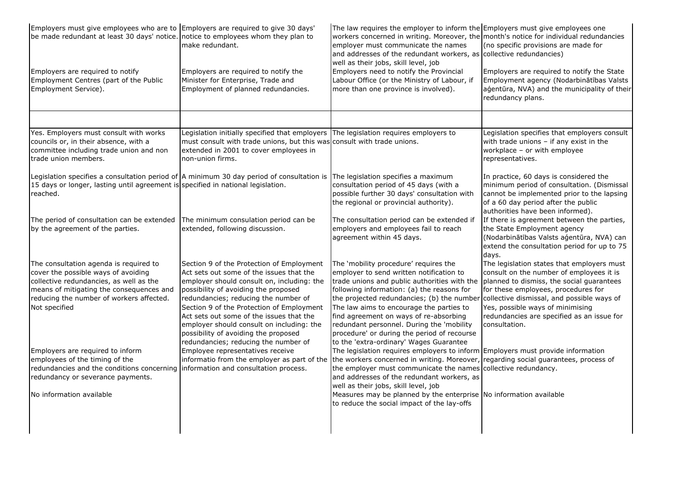| Employers must give employees who are to Employers are required to give 30 days'<br>be made redundant at least 30 days' notice. notice to employees whom they plan to<br>Employers are required to notify<br>Employment Centres (part of the Public | make redundant.<br>Employers are required to notify the<br>Minister for Enterprise, Trade and                                                                                                                                                                                                                | The law requires the employer to inform the Employers must give employees one<br>workers concerned in writing. Moreover, the month's notice for individual redundancies<br>employer must communicate the names<br>and addresses of the redundant workers, as collective redundancies)<br>well as their jobs, skill level, job<br>Employers need to notify the Provincial<br>Labour Office (or the Ministry of Labour, if | (no specific provisions are made for<br>Employers are required to notify the State<br>Employment agency (Nodarbinātības Valsts                                                                                  |
|-----------------------------------------------------------------------------------------------------------------------------------------------------------------------------------------------------------------------------------------------------|--------------------------------------------------------------------------------------------------------------------------------------------------------------------------------------------------------------------------------------------------------------------------------------------------------------|--------------------------------------------------------------------------------------------------------------------------------------------------------------------------------------------------------------------------------------------------------------------------------------------------------------------------------------------------------------------------------------------------------------------------|-----------------------------------------------------------------------------------------------------------------------------------------------------------------------------------------------------------------|
| Employment Service).                                                                                                                                                                                                                                | Employment of planned redundancies.                                                                                                                                                                                                                                                                          | more than one province is involved).                                                                                                                                                                                                                                                                                                                                                                                     | agentūra, NVA) and the municipality of their<br>redundancy plans.                                                                                                                                               |
| Yes. Employers must consult with works                                                                                                                                                                                                              | Legislation initially specified that employers The legislation requires employers to                                                                                                                                                                                                                         |                                                                                                                                                                                                                                                                                                                                                                                                                          | Legislation specifies that employers consult                                                                                                                                                                    |
| councils or, in their absence, with a                                                                                                                                                                                                               | must consult with trade unions, but this was consult with trade unions.                                                                                                                                                                                                                                      |                                                                                                                                                                                                                                                                                                                                                                                                                          | with trade unions - if any exist in the                                                                                                                                                                         |
| committee including trade union and non<br>trade union members.                                                                                                                                                                                     | extended in 2001 to cover employees in<br>non-union firms.                                                                                                                                                                                                                                                   |                                                                                                                                                                                                                                                                                                                                                                                                                          | workplace - or with employee<br>representatives.                                                                                                                                                                |
| 15 days or longer, lasting until agreement is specified in national legislation.<br>reached.                                                                                                                                                        | Legislation specifies a consultation period of $ A \text{ minimum } 30$ day period of consultation is                                                                                                                                                                                                        | The legislation specifies a maximum<br>consultation period of 45 days (with a<br>possible further 30 days' consultation with<br>the regional or provincial authority).                                                                                                                                                                                                                                                   | In practice, 60 days is considered the<br>minimum period of consultation. (Dismissal<br>cannot be implemented prior to the lapsing<br>of a 60 day period after the public<br>authorities have been informed).   |
| The period of consultation can be extended<br>by the agreement of the parties.                                                                                                                                                                      | The minimum consulation period can be<br>extended, following discussion.                                                                                                                                                                                                                                     | The consultation period can be extended if<br>employers and employees fail to reach<br>agreement within 45 days.                                                                                                                                                                                                                                                                                                         | If there is agreement between the parties,<br>the State Employment agency<br>(Nodarbinātības Valsts aģentūra, NVA) can<br>extend the consultation period for up to 75<br>days.                                  |
| The consultation agenda is required to<br>cover the possible ways of avoiding<br>collective redundancies, as well as the<br>means of mitigating the consequences and<br>reducing the number of workers affected.<br>Not specified                   | Section 9 of the Protection of Employment<br>Act sets out some of the issues that the<br>employer should consult on, including: the<br>possibility of avoiding the proposed<br>redundancies; reducing the number of<br>Section 9 of the Protection of Employment<br>Act sets out some of the issues that the | The 'mobility procedure' requires the<br>employer to send written notification to<br>trade unions and public authorities with the planned to dismiss, the social guarantees<br>following information: (a) the reasons for<br>the projected redundancies; (b) the number collective dismissal, and possible ways of<br>The law aims to encourage the parties to<br>find agreement on ways of re-absorbing                 | The legislation states that employers must<br>consult on the number of employees it is<br>for these employees, procedures for<br>Yes, possible ways of minimising<br>redundancies are specified as an issue for |
| Employers are required to inform                                                                                                                                                                                                                    | employer should consult on including: the<br>possibility of avoiding the proposed<br>redundancies; reducing the number of<br>Employee representatives receive                                                                                                                                                | redundant personnel. During the 'mobility<br>procedure' or during the period of recourse<br>to the 'extra-ordinary' Wages Guarantee<br>The legislation requires employers to inform Employers must provide information                                                                                                                                                                                                   | consultation.                                                                                                                                                                                                   |
| employees of the timing of the                                                                                                                                                                                                                      | informatio from the employer as part of the                                                                                                                                                                                                                                                                  | the workers concerned in writing. Moreover, regarding social guarantees, process of                                                                                                                                                                                                                                                                                                                                      |                                                                                                                                                                                                                 |
| redundancies and the conditions concerning information and consultation process.                                                                                                                                                                    |                                                                                                                                                                                                                                                                                                              | the employer must communicate the names collective redundancy.<br>and addresses of the redundant workers, as                                                                                                                                                                                                                                                                                                             |                                                                                                                                                                                                                 |
| redundancy or severance payments.<br>No information available                                                                                                                                                                                       |                                                                                                                                                                                                                                                                                                              | well as their jobs, skill level, job<br>Measures may be planned by the enterprise No information available<br>to reduce the social impact of the lay-offs                                                                                                                                                                                                                                                                |                                                                                                                                                                                                                 |
|                                                                                                                                                                                                                                                     |                                                                                                                                                                                                                                                                                                              |                                                                                                                                                                                                                                                                                                                                                                                                                          |                                                                                                                                                                                                                 |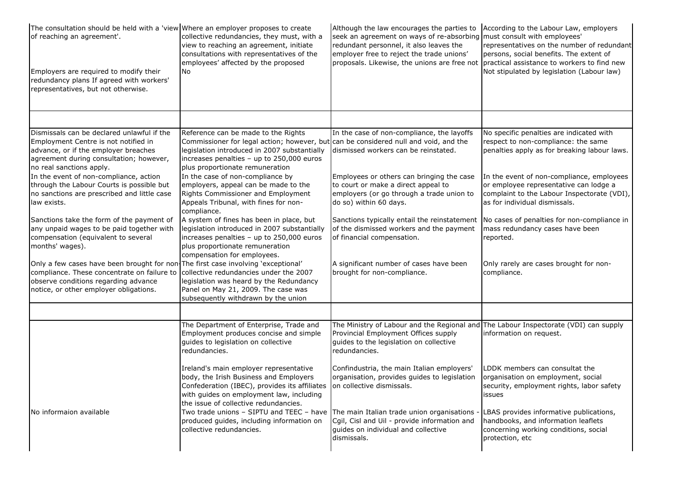| The consultation should be held with a 'view Where an employer proposes to create<br>of reaching an agreement'.<br>Employers are required to modify their<br>redundancy plans If agreed with workers'<br>representatives, but not otherwise.              | collective redundancies, they must, with a<br>view to reaching an agreement, initiate<br>consultations with representatives of the<br>employees' affected by the proposed<br><b>No</b>                                                                      | Although the law encourages the parties to<br>seek an agreement on ways of re-absorbing must consult with employees'<br>redundant personnel, it also leaves the<br>employer free to reject the trade unions'<br>proposals. Likewise, the unions are free not practical assistance to workers to find new | According to the Labour Law, employers<br>representatives on the number of redundant<br>persons, social benefits. The extent of<br>Not stipulated by legislation (Labour law) |
|-----------------------------------------------------------------------------------------------------------------------------------------------------------------------------------------------------------------------------------------------------------|-------------------------------------------------------------------------------------------------------------------------------------------------------------------------------------------------------------------------------------------------------------|----------------------------------------------------------------------------------------------------------------------------------------------------------------------------------------------------------------------------------------------------------------------------------------------------------|-------------------------------------------------------------------------------------------------------------------------------------------------------------------------------|
|                                                                                                                                                                                                                                                           |                                                                                                                                                                                                                                                             |                                                                                                                                                                                                                                                                                                          |                                                                                                                                                                               |
| Dismissals can be declared unlawful if the<br>Employment Centre is not notified in<br>advance, or if the employer breaches<br>agreement during consultation; however,<br>no real sanctions apply.                                                         | Reference can be made to the Rights<br>Commissioner for legal action; however, but can be considered null and void, and the<br>legislation introduced in 2007 substantially<br>increases penalties - up to 250,000 euros<br>plus proportionate remuneration | In the case of non-compliance, the layoffs<br>dismissed workers can be reinstated.                                                                                                                                                                                                                       | No specific penalties are indicated with<br>respect to non-compliance: the same<br>penalties apply as for breaking labour laws.                                               |
| In the event of non-compliance, action<br>through the Labour Courts is possible but<br>no sanctions are prescribed and little case<br>law exists.                                                                                                         | In the case of non-compliance by<br>employers, appeal can be made to the<br>Rights Commissioner and Employment<br>Appeals Tribunal, with fines for non-<br>compliance.                                                                                      | Employees or others can bringing the case<br>to court or make a direct appeal to<br>employers (or go through a trade union to<br>do so) within 60 days.                                                                                                                                                  | In the event of non-compliance, employees<br>or employee representative can lodge a<br>complaint to the Labour Inspectorate (VDI),<br>as for individual dismissals.           |
| Sanctions take the form of the payment of<br>any unpaid wages to be paid together with<br>compensation (equivalent to several<br>months' wages).                                                                                                          | A system of fines has been in place, but<br>legislation introduced in 2007 substantially<br>increases penalties - up to 250,000 euros<br>plus proportionate remuneration<br>compensation for employees.                                                     | Sanctions typically entail the reinstatement<br>of the dismissed workers and the payment<br>of financial compensation.                                                                                                                                                                                   | No cases of penalties for non-compliance in<br>mass redundancy cases have been<br>reported.                                                                                   |
| Only a few cases have been brought for non-The first case involving 'exceptional'<br>compliance. These concentrate on failure to collective redundancies under the 2007<br>observe conditions regarding advance<br>notice, or other employer obligations. | legislation was heard by the Redundancy<br>Panel on May 21, 2009. The case was<br>subsequently withdrawn by the union                                                                                                                                       | A significant number of cases have been<br>brought for non-compliance.                                                                                                                                                                                                                                   | Only rarely are cases brought for non-<br>compliance.                                                                                                                         |
|                                                                                                                                                                                                                                                           |                                                                                                                                                                                                                                                             |                                                                                                                                                                                                                                                                                                          |                                                                                                                                                                               |
|                                                                                                                                                                                                                                                           | The Department of Enterprise, Trade and<br>Employment produces concise and simple<br>guides to legislation on collective<br>redundancies.                                                                                                                   | The Ministry of Labour and the Regional and The Labour Inspectorate (VDI) can supply<br>Provincial Employment Offices supply<br>guides to the legislation on collective<br>redundancies.                                                                                                                 | information on request.                                                                                                                                                       |
|                                                                                                                                                                                                                                                           | Ireland's main employer representative<br>body, the Irish Business and Employers<br>Confederation (IBEC), provides its affiliates<br>with guides on employment law, including<br>the issue of collective redundancies.                                      | Confindustria, the main Italian employers'<br>organisation, provides guides to legislation<br>on collective dismissals.                                                                                                                                                                                  | DDK members can consultat the<br>organisation on employment, social<br>security, employment rights, labor safety<br>issues                                                    |
| No informaion available                                                                                                                                                                                                                                   | Two trade unions - SIPTU and TEEC - have<br>produced quides, including information on<br>collective redundancies.                                                                                                                                           | The main Italian trade union organisations<br>Cgil, Cisl and Uil - provide information and<br>quides on individual and collective<br>dismissals.                                                                                                                                                         | LBAS provides informative publications,<br>handbooks, and information leaflets<br>concerning working conditions, social<br>protection, etc                                    |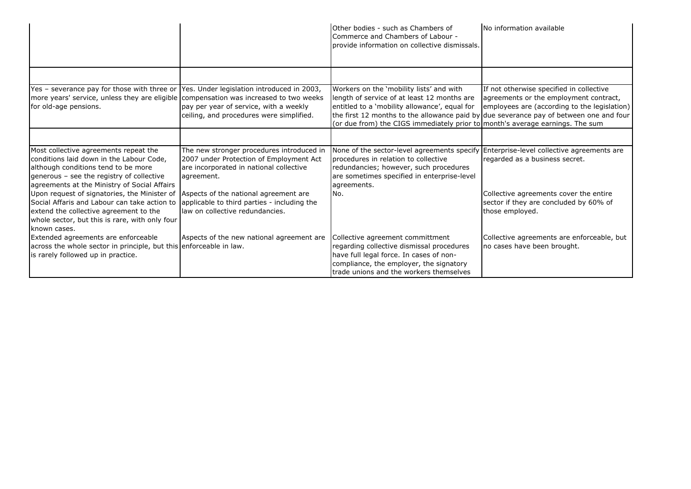|                                                                                                                                                                                                                       |                                                                                                                                               | Other bodies - such as Chambers of<br>Commerce and Chambers of Labour -<br>provide information on collective dismissals.                                                                                                  | No information available                                                                                                                                                                                                     |
|-----------------------------------------------------------------------------------------------------------------------------------------------------------------------------------------------------------------------|-----------------------------------------------------------------------------------------------------------------------------------------------|---------------------------------------------------------------------------------------------------------------------------------------------------------------------------------------------------------------------------|------------------------------------------------------------------------------------------------------------------------------------------------------------------------------------------------------------------------------|
|                                                                                                                                                                                                                       |                                                                                                                                               |                                                                                                                                                                                                                           |                                                                                                                                                                                                                              |
| Yes - severance pay for those with three or<br>more years' service, unless they are eligible compensation was increased to two weeks<br>for old-age pensions.                                                         | Yes. Under legislation introduced in 2003,<br>pay per year of service, with a weekly<br>ceiling, and procedures were simplified.              | Workers on the 'mobility lists' and with<br>length of service of at least 12 months are<br>entitled to a 'mobility allowance', equal for<br>(or due from) the CIGS immediately prior to month's average earnings. The sum | If not otherwise specified in collective<br>agreements or the employment contract,<br>employees are (according to the legislation)<br>the first 12 months to the allowance paid by due severance pay of between one and four |
|                                                                                                                                                                                                                       |                                                                                                                                               |                                                                                                                                                                                                                           |                                                                                                                                                                                                                              |
| Most collective agreements repeat the<br>conditions laid down in the Labour Code,<br>although conditions tend to be more<br>generous - see the registry of collective<br>agreements at the Ministry of Social Affairs | The new stronger procedures introduced in<br>2007 under Protection of Employment Act<br>are incorporated in national collective<br>agreement. | None of the sector-level agreements specify<br>procedures in relation to collective<br>redundancies; however, such procedures<br>are sometimes specified in enterprise-level<br>agreements.                               | Enterprise-level collective agreements are<br>regarded as a business secret.                                                                                                                                                 |
| Upon request of signatories, the Minister of<br>Social Affaris and Labour can take action to<br>extend the collective agreement to the<br>whole sector, but this is rare, with only four<br>known cases.              | Aspects of the national agreement are<br>applicable to third parties - including the<br>law on collective redundancies.                       | No.                                                                                                                                                                                                                       | Collective agreements cover the entire<br>sector if they are concluded by 60% of<br>those employed.                                                                                                                          |
| Extended agreements are enforceable<br>across the whole sector in principle, but this enforceable in law.<br>is rarely followed up in practice.                                                                       | Aspects of the new national agreement are                                                                                                     | Collective agreement committment<br>regarding collective dismissal procedures<br>have full legal force. In cases of non-<br>compliance, the employer, the signatory<br>trade unions and the workers themselves            | Collective agreements are enforceable, but<br>no cases have been brought.                                                                                                                                                    |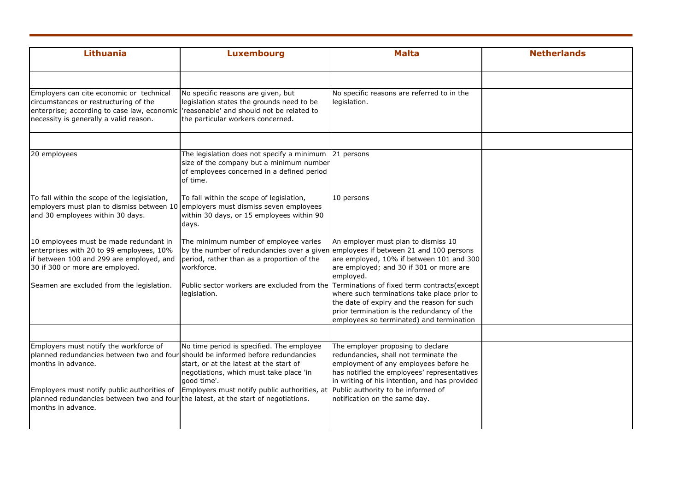| <b>Lithuania</b>                                                                                                                                                                                      | <b>Luxembourg</b>                                                                                                                                | <b>Malta</b>                                                                                                                                                                        | <b>Netherlands</b> |
|-------------------------------------------------------------------------------------------------------------------------------------------------------------------------------------------------------|--------------------------------------------------------------------------------------------------------------------------------------------------|-------------------------------------------------------------------------------------------------------------------------------------------------------------------------------------|--------------------|
| Employers can cite economic or technical                                                                                                                                                              | No specific reasons are given, but                                                                                                               | No specific reasons are referred to in the                                                                                                                                          |                    |
| circumstances or restructuring of the<br>enterprise; according to case law, economic 'reasonable' and should not be related to<br>necessity is generally a valid reason.                              | legislation states the grounds need to be<br>the particular workers concerned.                                                                   | legislation.                                                                                                                                                                        |                    |
| 20 employees                                                                                                                                                                                          | The legislation does not specify a minimum<br>size of the company but a minimum number<br>of employees concerned in a defined period<br>of time. | 21 persons                                                                                                                                                                          |                    |
| To fall within the scope of the legislation,<br>employers must plan to dismiss between 10 employers must dismiss seven employees<br>and 30 employees within 30 days.                                  | To fall within the scope of legislation,<br>within 30 days, or 15 employees within 90<br>days.                                                   | 10 persons                                                                                                                                                                          |                    |
| 10 employees must be made redundant in<br>enterprises with 20 to 99 employees, 10%<br>if between 100 and 299 are employed, and<br>30 if 300 or more are employed.                                     | The minimum number of employee varies<br>by the number of redundancies over a given<br>period, rather than as a proportion of the<br>workforce.  | An employer must plan to dismiss 10<br>employees if between 21 and 100 persons<br>are employed, 10% if between 101 and 300<br>are employed; and 30 if 301 or more are<br>employed.  |                    |
| Seamen are excluded from the legislation.                                                                                                                                                             | Public sector workers are excluded from the Terminations of fixed term contracts(except<br>legislation.                                          | where such terminations take place prior to<br>the date of expiry and the reason for such<br>prior termination is the redundancy of the<br>employees so terminated) and termination |                    |
| Employers must notify the workforce of<br>planned redundancies between two and four should be informed before redundancies                                                                            | No time period is specified. The employee                                                                                                        | The employer proposing to declare<br>redundancies, shall not terminate the                                                                                                          |                    |
| months in advance.                                                                                                                                                                                    | start, or at the latest at the start of<br>negotiations, which must take place 'in<br>good time'.                                                | employment of any employees before he<br>has notified the employees' representatives<br>in writing of his intention, and has provided                                               |                    |
| Employers must notify public authorities of Employers must notify public authorities, at<br>planned redundancies between two and four the latest, at the start of negotiations.<br>months in advance. |                                                                                                                                                  | Public authority to be informed of<br>notification on the same day.                                                                                                                 |                    |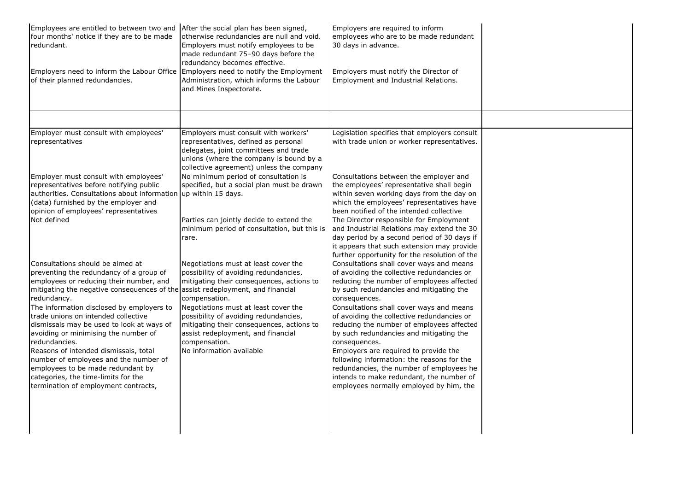| Employees are entitled to between two and After the social plan has been signed,<br>four months' notice if they are to be made<br>redundant.<br>Employers need to inform the Labour Office Employers need to notify the Employment<br>of their planned redundancies.                                                                                                                                                                                                                                                                                                                                                    | otherwise redundancies are null and void.<br>Employers must notify employees to be<br>made redundant 75-90 days before the<br>redundancy becomes effective.<br>Administration, which informs the Labour<br>and Mines Inspectorate.                                                                                                                           | Employers are required to inform<br>employees who are to be made redundant<br>30 days in advance.<br>Employers must notify the Director of<br>Employment and Industrial Relations.                                                                                                                                                                                                                                                                                                                                                                                                                                                                                            |  |
|-------------------------------------------------------------------------------------------------------------------------------------------------------------------------------------------------------------------------------------------------------------------------------------------------------------------------------------------------------------------------------------------------------------------------------------------------------------------------------------------------------------------------------------------------------------------------------------------------------------------------|--------------------------------------------------------------------------------------------------------------------------------------------------------------------------------------------------------------------------------------------------------------------------------------------------------------------------------------------------------------|-------------------------------------------------------------------------------------------------------------------------------------------------------------------------------------------------------------------------------------------------------------------------------------------------------------------------------------------------------------------------------------------------------------------------------------------------------------------------------------------------------------------------------------------------------------------------------------------------------------------------------------------------------------------------------|--|
|                                                                                                                                                                                                                                                                                                                                                                                                                                                                                                                                                                                                                         |                                                                                                                                                                                                                                                                                                                                                              |                                                                                                                                                                                                                                                                                                                                                                                                                                                                                                                                                                                                                                                                               |  |
| Employer must consult with employees'<br>representatives                                                                                                                                                                                                                                                                                                                                                                                                                                                                                                                                                                | Employers must consult with workers'<br>representatives, defined as personal<br>delegates, joint committees and trade<br>unions (where the company is bound by a<br>collective agreement) unless the company                                                                                                                                                 | Legislation specifies that employers consult<br>with trade union or worker representatives.                                                                                                                                                                                                                                                                                                                                                                                                                                                                                                                                                                                   |  |
| Employer must consult with employees'<br>representatives before notifying public<br>authorities. Consultations about information up within 15 days.<br>(data) furnished by the employer and<br>opinion of employees' representatives<br>Not defined                                                                                                                                                                                                                                                                                                                                                                     | No minimum period of consultation is<br>specified, but a social plan must be drawn<br>Parties can jointly decide to extend the<br>minimum period of consultation, but this is<br>rare.                                                                                                                                                                       | Consultations between the employer and<br>the employees' representative shall begin<br>within seven working days from the day on<br>which the employees' representatives have<br>been notified of the intended collective<br>The Director responsible for Employment<br>and Industrial Relations may extend the 30<br>day period by a second period of 30 days if<br>it appears that such extension may provide                                                                                                                                                                                                                                                               |  |
| Consultations should be aimed at<br>preventing the redundancy of a group of<br>employees or reducing their number, and<br>mitigating the negative consequences of the assist redeployment, and financial<br>redundancy.<br>The information disclosed by employers to<br>trade unions on intended collective<br>dismissals may be used to look at ways of<br>avoiding or minimising the number of<br>redundancies.<br>Reasons of intended dismissals, total<br>number of employees and the number of<br>employees to be made redundant by<br>categories, the time-limits for the<br>termination of employment contracts, | Negotiations must at least cover the<br>possibility of avoiding redundancies,<br>mitigating their consequences, actions to<br>compensation.<br>Negotiations must at least cover the<br>possibility of avoiding redundancies,<br>mitigating their consequences, actions to<br>assist redeployment, and financial<br>compensation.<br>No information available | further opportunity for the resolution of the<br>Consultations shall cover ways and means<br>of avoiding the collective redundancies or<br>reducing the number of employees affected<br>by such redundancies and mitigating the<br>consequences.<br>Consultations shall cover ways and means<br>of avoiding the collective redundancies or<br>reducing the number of employees affected<br>by such redundancies and mitigating the<br>consequences.<br>Employers are required to provide the<br>following information: the reasons for the<br>redundancies, the number of employees he<br>intends to make redundant, the number of<br>employees normally employed by him, the |  |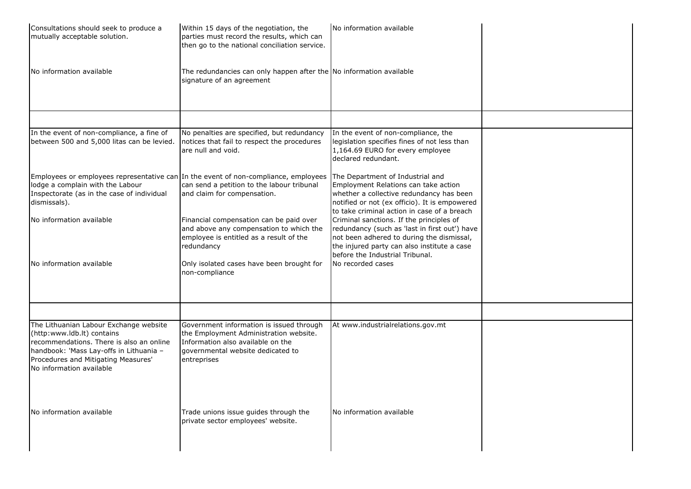| Consultations should seek to produce a<br>mutually acceptable solution.                                                                                                                                                        | Within 15 days of the negotiation, the<br>parties must record the results, which can<br>then go to the national conciliation service.                                       | No information available                                                                                                                                                                                                 |  |
|--------------------------------------------------------------------------------------------------------------------------------------------------------------------------------------------------------------------------------|-----------------------------------------------------------------------------------------------------------------------------------------------------------------------------|--------------------------------------------------------------------------------------------------------------------------------------------------------------------------------------------------------------------------|--|
| No information available                                                                                                                                                                                                       | The redundancies can only happen after the No information available<br>signature of an agreement                                                                            |                                                                                                                                                                                                                          |  |
|                                                                                                                                                                                                                                |                                                                                                                                                                             |                                                                                                                                                                                                                          |  |
| In the event of non-compliance, a fine of<br>between 500 and 5,000 litas can be levied.                                                                                                                                        | No penalties are specified, but redundancy<br>notices that fail to respect the procedures<br>are null and void.                                                             | In the event of non-compliance, the<br>legislation specifies fines of not less than<br>1,164.69 EURO for every employee<br>declared redundant.                                                                           |  |
| Employees or employees representative can In the event of non-compliance, employees<br>lodge a complain with the Labour<br>Inspectorate (as in the case of individual<br>dismissals).                                          | can send a petition to the labour tribunal<br>and claim for compensation.                                                                                                   | The Department of Industrial and<br>Employment Relations can take action<br>whether a collective redundancy has been<br>notified or not (ex officio). It is empowered<br>to take criminal action in case of a breach     |  |
| No information available                                                                                                                                                                                                       | Financial compensation can be paid over<br>and above any compensation to which the<br>employee is entitled as a result of the<br>redundancy                                 | Criminal sanctions. If the principles of<br>redundancy (such as 'last in first out') have<br>not been adhered to during the dismissal,<br>the injured party can also institute a case<br>before the Industrial Tribunal. |  |
| No information available                                                                                                                                                                                                       | Only isolated cases have been brought for<br>non-compliance                                                                                                                 | No recorded cases                                                                                                                                                                                                        |  |
|                                                                                                                                                                                                                                |                                                                                                                                                                             |                                                                                                                                                                                                                          |  |
| The Lithuanian Labour Exchange website<br>(http:www.ldb.lt) contains<br>recommendations. There is also an online<br>handbook: 'Mass Lay-offs in Lithuania -<br>Procedures and Mitigating Measures'<br>No information available | Government information is issued through<br>the Employment Administration website.<br>Information also available on the<br>governmental website dedicated to<br>entreprises | At www.industrialrelations.gov.mt                                                                                                                                                                                        |  |
| No information available                                                                                                                                                                                                       | Trade unions issue guides through the<br>private sector employees' website.                                                                                                 | No information available                                                                                                                                                                                                 |  |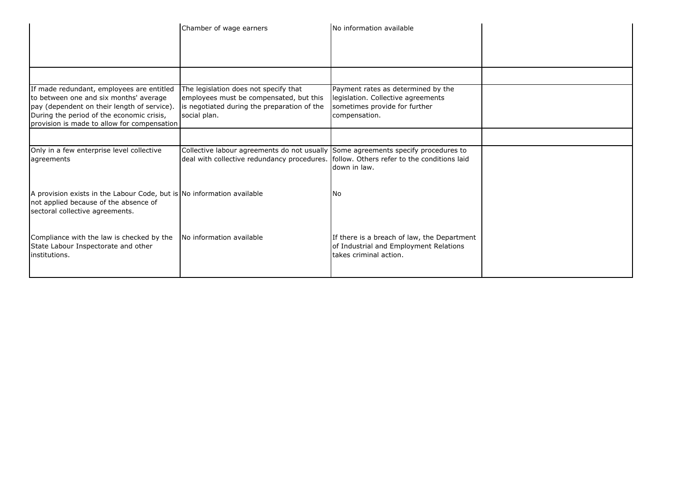|                                                                                                                                                                                                                                | Chamber of wage earners                                                                                                                                                       | No information available                                                                                                   |  |
|--------------------------------------------------------------------------------------------------------------------------------------------------------------------------------------------------------------------------------|-------------------------------------------------------------------------------------------------------------------------------------------------------------------------------|----------------------------------------------------------------------------------------------------------------------------|--|
|                                                                                                                                                                                                                                |                                                                                                                                                                               |                                                                                                                            |  |
| If made redundant, employees are entitled<br>to between one and six months' average<br>pay (dependent on their length of service).<br>During the period of the economic crisis,<br>provision is made to allow for compensation | The legislation does not specify that<br>employees must be compensated, but this<br>is negotiated during the preparation of the<br>social plan.                               | Payment rates as determined by the<br>legislation. Collective agreements<br>sometimes provide for further<br>compensation. |  |
|                                                                                                                                                                                                                                |                                                                                                                                                                               |                                                                                                                            |  |
| Only in a few enterprise level collective<br>agreements                                                                                                                                                                        | Collective labour agreements do not usually Some agreements specify procedures to<br>deal with collective redundancy procedures. [follow. Others refer to the conditions laid | down in law.                                                                                                               |  |
| A provision exists in the Labour Code, but is No information available<br>not applied because of the absence of<br>sectoral collective agreements.                                                                             |                                                                                                                                                                               | No.                                                                                                                        |  |
| Compliance with the law is checked by the<br>State Labour Inspectorate and other<br>institutions.                                                                                                                              | No information available                                                                                                                                                      | If there is a breach of law, the Department<br>of Industrial and Employment Relations<br>takes criminal action.            |  |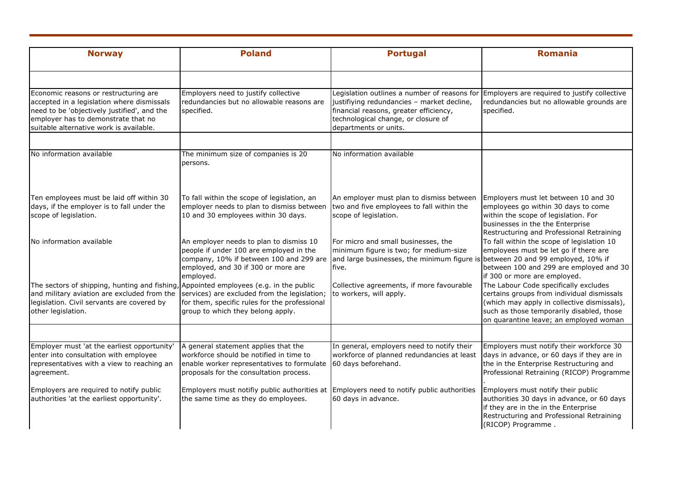| <b>Norway</b>                                                                                                                                                                                                        | <b>Poland</b>                                                                                                                                                                     | <b>Portugal</b>                                                                                                                                                                                      | <b>Romania</b>                                                                                                                                                                                                            |
|----------------------------------------------------------------------------------------------------------------------------------------------------------------------------------------------------------------------|-----------------------------------------------------------------------------------------------------------------------------------------------------------------------------------|------------------------------------------------------------------------------------------------------------------------------------------------------------------------------------------------------|---------------------------------------------------------------------------------------------------------------------------------------------------------------------------------------------------------------------------|
|                                                                                                                                                                                                                      |                                                                                                                                                                                   |                                                                                                                                                                                                      |                                                                                                                                                                                                                           |
| Economic reasons or restructuring are<br>accepted in a legislation where dismissals<br>need to be 'objectively justified', and the<br>employer has to demonstrate that no<br>suitable alternative work is available. | Employers need to justify collective<br>redundancies but no allowable reasons are<br>specified.                                                                                   | Legislation outlines a number of reasons for<br>justifiying redundancies - market decline,<br>financial reasons, greater efficiency,<br>technological change, or closure of<br>departments or units. | Employers are required to justify collective<br>redundancies but no allowable grounds are<br>specified.                                                                                                                   |
|                                                                                                                                                                                                                      |                                                                                                                                                                                   |                                                                                                                                                                                                      |                                                                                                                                                                                                                           |
| No information available                                                                                                                                                                                             | The minimum size of companies is 20<br>persons.                                                                                                                                   | No information available                                                                                                                                                                             |                                                                                                                                                                                                                           |
| Ten employees must be laid off within 30<br>days, if the employer is to fall under the<br>scope of legislation.                                                                                                      | To fall within the scope of legislation, an<br>employer needs to plan to dismiss between<br>10 and 30 employees within 30 days.                                                   | An employer must plan to dismiss between<br>two and five employees to fall within the<br>scope of legislation.                                                                                       | Employers must let between 10 and 30<br>employees go within 30 days to come<br>within the scope of legislation. For<br>businesses in the the Enterprise<br>Restructuring and Professional Retraining                      |
| No information available                                                                                                                                                                                             | An employer needs to plan to dismiss 10<br>people if under 100 are employed in the<br>company, 10% if between 100 and 299 are<br>employed, and 30 if 300 or more are<br>employed. | For micro and small businesses, the<br>minimum figure is two; for medium-size<br>and large businesses, the minimum figure is between 20 and 99 employed, 10% if<br>five.                             | To fall within the scope of legislation 10<br>employees must be let go if there are<br>between 100 and 299 are employed and 30<br>if 300 or more are employed.                                                            |
| The sectors of shipping, hunting and fishing, Appointed employees (e.g. in the public<br>and military aviation are excluded from the<br>legislation. Civil servants are covered by<br>other legislation.             | services) are excluded from the legislation;<br>for them, specific rules for the professional<br>group to which they belong apply.                                                | Collective agreements, if more favourable<br>to workers, will apply.                                                                                                                                 | The Labour Code specifically excludes<br>certains groups from individual dismissals<br>(which may apply in collective dismissals),<br>such as those temporarily disabled, those<br>on quarantine leave; an employed woman |
|                                                                                                                                                                                                                      |                                                                                                                                                                                   |                                                                                                                                                                                                      |                                                                                                                                                                                                                           |
| Employer must 'at the earliest opportunity'<br>enter into consultation with employee<br>representatives with a view to reaching an<br>agreement.                                                                     | A general statement applies that the<br>workforce should be notified in time to<br>enable worker representatives to formulate<br>proposals for the consultation process.          | In general, employers need to notify their<br>workforce of planned redundancies at least<br>60 days beforehand.                                                                                      | Employers must notify their workforce 30<br>days in advance, or 60 days if they are in<br>the in the Enterprise Restructuring and<br>Professional Retraining (RICOP) Programme                                            |
| Employers are required to notify public<br>authorities 'at the earliest opportunity'.                                                                                                                                | Employers must notifiy public authorities at<br>the same time as they do employees.                                                                                               | Employers need to notify public authorities<br>60 days in advance.                                                                                                                                   | Employers must notify their public<br>authorities 30 days in advance, or 60 days<br>if they are in the in the Enterprise<br>Restructuring and Professional Retraining<br>(RICOP) Programme.                               |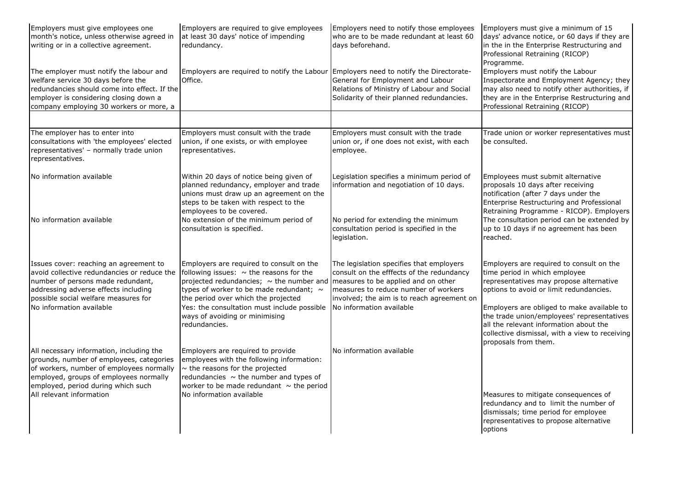| Employers must give employees one<br>month's notice, unless otherwise agreed in<br>writing or in a collective agreement.                                                                                           | Employers are required to give employees<br>at least 30 days' notice of impending<br>redundancy.                                                                                                                                 | Employers need to notify those employees<br>who are to be made redundant at least 60<br>days beforehand.                                                                                                           | Employers must give a minimum of 15<br>days' advance notice, or 60 days if they are<br>in the in the Enterprise Restructuring and<br>Professional Retraining (RICOP)<br>Programme.                               |
|--------------------------------------------------------------------------------------------------------------------------------------------------------------------------------------------------------------------|----------------------------------------------------------------------------------------------------------------------------------------------------------------------------------------------------------------------------------|--------------------------------------------------------------------------------------------------------------------------------------------------------------------------------------------------------------------|------------------------------------------------------------------------------------------------------------------------------------------------------------------------------------------------------------------|
| The employer must notify the labour and<br>welfare service 30 days before the<br>redundancies should come into effect. If the<br>employer is considering closing down a<br>company employing 30 workers or more, a | Employers are required to notify the Labour Employers need to notify the Directorate-<br>Office.                                                                                                                                 | General for Employment and Labour<br>Relations of Ministry of Labour and Social<br>Solidarity of their planned redundancies.                                                                                       | Employers must notify the Labour<br>Inspectorate and Employment Agency; they<br>may also need to notify other authorities, if<br>they are in the Enterprise Restructuring and<br>Professional Retraining (RICOP) |
|                                                                                                                                                                                                                    |                                                                                                                                                                                                                                  |                                                                                                                                                                                                                    |                                                                                                                                                                                                                  |
| The employer has to enter into<br>consultations with 'the employees' elected<br>representatives' - normally trade union<br>representatives.                                                                        | Employers must consult with the trade<br>union, if one exists, or with employee<br>representatives.                                                                                                                              | Employers must consult with the trade<br>union or, if one does not exist, with each<br>employee.                                                                                                                   | Trade union or worker representatives must<br>be consulted.                                                                                                                                                      |
| No information available                                                                                                                                                                                           | Within 20 days of notice being given of<br>planned redundancy, employer and trade<br>unions must draw up an agreement on the<br>steps to be taken with respect to the<br>employees to be covered.                                | Legislation specifies a minimum period of<br>information and negotiation of 10 days.                                                                                                                               | Employees must submit alternative<br>proposals 10 days after receiving<br>notification (after 7 days under the<br>Enterprise Restructuring and Professional<br>Retraining Programme - RICOP). Employers          |
| No information available                                                                                                                                                                                           | No extension of the minimum period of<br>consultation is specified.                                                                                                                                                              | No period for extending the minimum<br>consultation period is specified in the<br>legislation.                                                                                                                     | The consultation period can be extended by<br>up to 10 days if no agreement has been<br>reached.                                                                                                                 |
| Issues cover: reaching an agreement to<br>avoid collective redundancies or reduce the<br>number of persons made redundant,<br>addressing adverse effects including<br>possible social welfare measures for         | Employers are required to consult on the<br>following issues: $\sim$ the reasons for the<br>projected redundancies; $\sim$ the number and<br>types of worker to be made redundant; $\sim$<br>the period over which the projected | The legislation specifies that employers<br>consult on the efffects of the redundancy<br>measures to be applied and on other<br>measures to reduce number of workers<br>involved; the aim is to reach agreement on | Employers are required to consult on the<br>time period in which employee<br>representatives may propose alternative<br>options to avoid or limit redundancies.                                                  |
| No information available                                                                                                                                                                                           | Yes: the consultation must include possible<br>ways of avoiding or minimising<br>redundancies.                                                                                                                                   | No information available                                                                                                                                                                                           | Employers are obliged to make available to<br>the trade union/employees' representatives<br>all the relevant information about the<br>collective dismissal, with a view to receiving<br>proposals from them.     |
| All necessary information, including the<br>grounds, number of employees, categories<br>of workers, number of employees normally<br>employed, groups of employees normally<br>employed, period during which such   | Employers are required to provide<br>employees with the following information:<br>$\sim$ the reasons for the projected<br>redundancies $\sim$ the number and types of<br>worker to be made redundant $\sim$ the period           | No information available                                                                                                                                                                                           |                                                                                                                                                                                                                  |
| All relevant information                                                                                                                                                                                           | No information available                                                                                                                                                                                                         |                                                                                                                                                                                                                    | Measures to mitigate consequences of<br>redundancy and to limit the number of<br>dismissals; time period for employee<br>representatives to propose alternative<br>options                                       |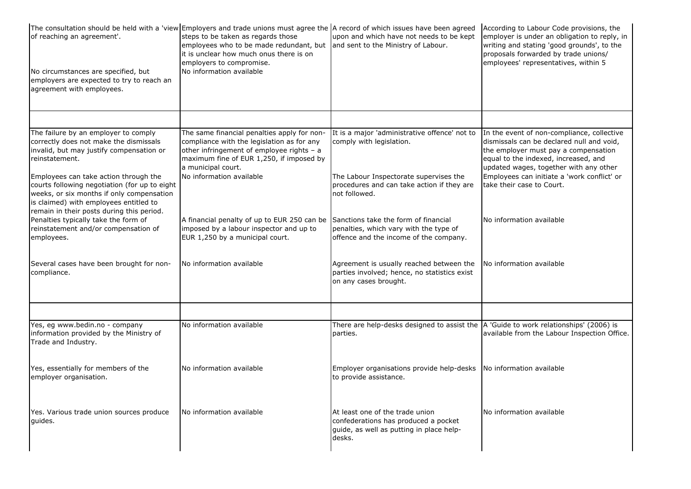| of reaching an agreement'.<br>No circumstances are specified, but<br>employers are expected to try to reach an<br>agreement with employees.                                           | The consultation should be held with a 'view Employers and trade unions must agree the A record of which issues have been agreed<br>steps to be taken as regards those<br>employees who to be made redundant, but<br>it is unclear how much onus there is on<br>employers to compromise.<br>No information available | upon and which have not needs to be kept<br>and sent to the Ministry of Labour.                                               | According to Labour Code provisions, the<br>employer is under an obligation to reply, in<br>writing and stating 'good grounds', to the<br>proposals forwarded by trade unions/<br>employees' representatives, within 5                                           |
|---------------------------------------------------------------------------------------------------------------------------------------------------------------------------------------|----------------------------------------------------------------------------------------------------------------------------------------------------------------------------------------------------------------------------------------------------------------------------------------------------------------------|-------------------------------------------------------------------------------------------------------------------------------|------------------------------------------------------------------------------------------------------------------------------------------------------------------------------------------------------------------------------------------------------------------|
|                                                                                                                                                                                       |                                                                                                                                                                                                                                                                                                                      |                                                                                                                               |                                                                                                                                                                                                                                                                  |
| The failure by an employer to comply<br>correctly does not make the dismissals<br>invalid, but may justify compensation or<br>reinstatement.<br>Employees can take action through the | The same financial penalties apply for non-<br>compliance with the legislation as for any<br>other infringement of employee rights - a<br>maximum fine of EUR 1,250, if imposed by<br>a municipal court.<br>No information available                                                                                 | It is a major 'administrative offence' not to<br>comply with legislation.<br>The Labour Inspectorate supervises the           | In the event of non-compliance, collective<br>dismissals can be declared null and void,<br>the employer must pay a compensation<br>equal to the indexed, increased, and<br>updated wages, together with any other<br>Employees can initiate a 'work conflict' or |
| courts following negotiation (for up to eight<br>weeks, or six months if only compensation<br>is claimed) with employees entitled to<br>remain in their posts during this period.     |                                                                                                                                                                                                                                                                                                                      | procedures and can take action if they are<br>not followed.                                                                   | take their case to Court.                                                                                                                                                                                                                                        |
| Penalties typically take the form of<br>reinstatement and/or compensation of<br>employees.                                                                                            | A financial penalty of up to EUR 250 can be<br>imposed by a labour inspector and up to<br>EUR 1,250 by a municipal court.                                                                                                                                                                                            | Sanctions take the form of financial<br>penalties, which vary with the type of<br>offence and the income of the company.      | No information available                                                                                                                                                                                                                                         |
| Several cases have been brought for non-<br>compliance.                                                                                                                               | No information available                                                                                                                                                                                                                                                                                             | Agreement is usually reached between the<br>parties involved; hence, no statistics exist<br>on any cases brought.             | No information available                                                                                                                                                                                                                                         |
|                                                                                                                                                                                       |                                                                                                                                                                                                                                                                                                                      |                                                                                                                               |                                                                                                                                                                                                                                                                  |
| Yes, eg www.bedin.no - company<br>information provided by the Ministry of<br>Trade and Industry.                                                                                      | No information available                                                                                                                                                                                                                                                                                             | There are help-desks designed to assist the $\vert$ A 'Guide to work relationships' (2006) is<br>parties.                     | available from the Labour Inspection Office.                                                                                                                                                                                                                     |
| Yes, essentially for members of the<br>employer organisation.                                                                                                                         | No information available                                                                                                                                                                                                                                                                                             | Employer organisations provide help-desks<br>to provide assistance.                                                           | No information available                                                                                                                                                                                                                                         |
| Yes. Various trade union sources produce<br>quides.                                                                                                                                   | No information available                                                                                                                                                                                                                                                                                             | At least one of the trade union<br>confederations has produced a pocket<br>guide, as well as putting in place help-<br>desks. | No information available                                                                                                                                                                                                                                         |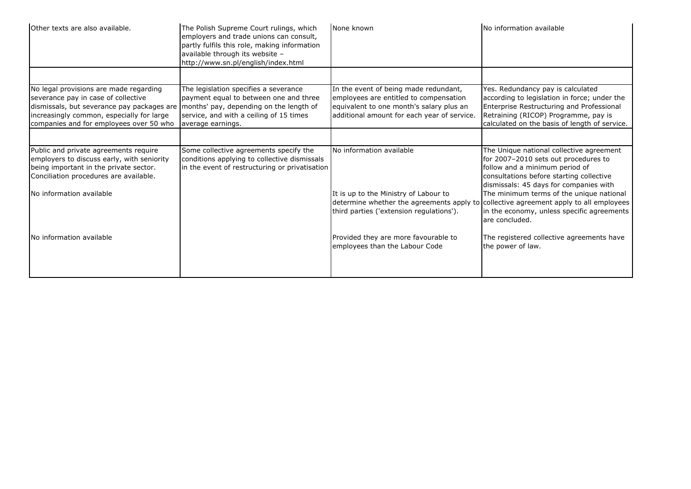| Other texts are also available.                                                                                                                                                                                     | The Polish Supreme Court rulings, which<br>employers and trade unions can consult,<br>partly fulfils this role, making information<br>available through its website -<br>http://www.sn.pl/english/index.html | None known                                                                                                                                                                 | No information available                                                                                                                                                                                                                             |
|---------------------------------------------------------------------------------------------------------------------------------------------------------------------------------------------------------------------|--------------------------------------------------------------------------------------------------------------------------------------------------------------------------------------------------------------|----------------------------------------------------------------------------------------------------------------------------------------------------------------------------|------------------------------------------------------------------------------------------------------------------------------------------------------------------------------------------------------------------------------------------------------|
|                                                                                                                                                                                                                     |                                                                                                                                                                                                              |                                                                                                                                                                            |                                                                                                                                                                                                                                                      |
| No legal provisions are made regarding<br>severance pay in case of collective<br>dismissals, but severance pay packages are<br>increasingly common, especially for large<br>companies and for employees over 50 who | The legislation specifies a severance<br>payment equal to between one and three<br>months' pay, depending on the length of<br>service, and with a ceiling of 15 times<br>average earnings.                   | In the event of being made redundant,<br>employees are entitled to compensation<br>equivalent to one month's salary plus an<br>additional amount for each year of service. | Yes. Redundancy pay is calculated<br>according to legislation in force; under the<br>Enterprise Restructuring and Professional<br>Retraining (RICOP) Programme, pay is<br>calculated on the basis of length of service.                              |
|                                                                                                                                                                                                                     |                                                                                                                                                                                                              |                                                                                                                                                                            |                                                                                                                                                                                                                                                      |
| Public and private agreements require<br>employers to discuss early, with seniority<br>being important in the private sector.<br>Conciliation procedures are available.<br>No information available                 | Some collective agreements specify the<br>conditions applying to collective dismissals<br>in the event of restructuring or privatisation                                                                     | No information available<br>It is up to the Ministry of Labour to                                                                                                          | The Unique national collective agreement<br>for 2007-2010 sets out procedures to<br>follow and a minimum period of<br>consultations before starting collective<br>dismissals: 45 days for companies with<br>The minimum terms of the unique national |
|                                                                                                                                                                                                                     |                                                                                                                                                                                                              | determine whether the agreements apply to collective agreement apply to all employees<br>third parties ('extension regulations').                                          | in the economy, unless specific agreements<br>are concluded.                                                                                                                                                                                         |
| No information available                                                                                                                                                                                            |                                                                                                                                                                                                              | Provided they are more favourable to<br>employees than the Labour Code                                                                                                     | The registered collective agreements have<br>the power of law.                                                                                                                                                                                       |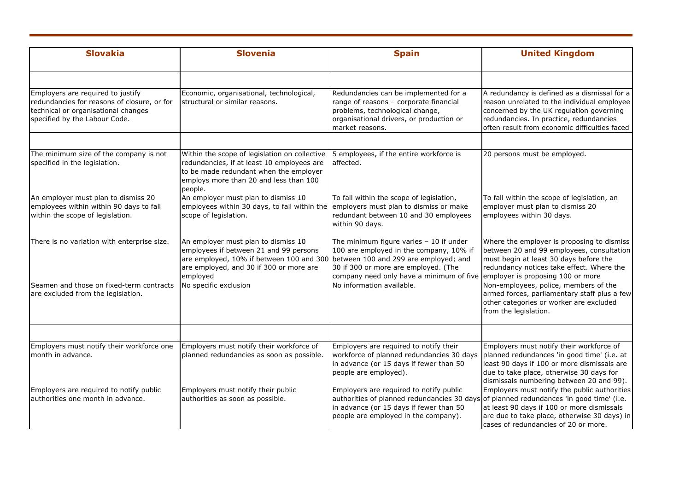| <b>Slovakia</b>                                                                                                                                          | <b>Slovenia</b>                                                                                                                                                                                                        | <b>Spain</b>                                                                                                                                                                                                          | <b>United Kingdom</b>                                                                                                                                                                                                               |
|----------------------------------------------------------------------------------------------------------------------------------------------------------|------------------------------------------------------------------------------------------------------------------------------------------------------------------------------------------------------------------------|-----------------------------------------------------------------------------------------------------------------------------------------------------------------------------------------------------------------------|-------------------------------------------------------------------------------------------------------------------------------------------------------------------------------------------------------------------------------------|
|                                                                                                                                                          |                                                                                                                                                                                                                        |                                                                                                                                                                                                                       |                                                                                                                                                                                                                                     |
| Employers are required to justify<br>redundancies for reasons of closure, or for<br>technical or organisational changes<br>specified by the Labour Code. | Economic, organisational, technological,<br>structural or similar reasons.                                                                                                                                             | Redundancies can be implemented for a<br>range of reasons - corporate financial<br>problems, technological change,<br>organisational drivers, or production or<br>market reasons.                                     | A redundancy is defined as a dismissal for a<br>reason unrelated to the individual employee<br>concerned by the UK regulation governing<br>redundancies. In practice, redundancies<br>often result from economic difficulties faced |
| The minimum size of the company is not                                                                                                                   | Within the scope of legislation on collective                                                                                                                                                                          | 5 employees, if the entire workforce is                                                                                                                                                                               | 20 persons must be employed.                                                                                                                                                                                                        |
| specified in the legislation.                                                                                                                            | redundancies, if at least 10 employees are<br>to be made redundant when the employer<br>employs more than 20 and less than 100<br>people.                                                                              | affected.                                                                                                                                                                                                             |                                                                                                                                                                                                                                     |
| An employer must plan to dismiss 20<br>employees within within 90 days to fall<br>within the scope of legislation.                                       | An employer must plan to dismiss 10<br>employees within 30 days, to fall within the<br>scope of legislation.                                                                                                           | To fall within the scope of legislation,<br>employers must plan to dismiss or make<br>redundant between 10 and 30 employees<br>within 90 days.                                                                        | To fall within the scope of legislation, an<br>employer must plan to dismiss 20<br>employees within 30 days.                                                                                                                        |
| There is no variation with enterprise size.                                                                                                              | An employer must plan to dismiss 10<br>employees if between 21 and 99 persons<br>are employed, 10% if between 100 and 300 between 100 and 299 are employed; and<br>are employed, and 30 if 300 or more are<br>employed | The minimum figure varies $-10$ if under<br>100 are employed in the company, 10% if<br>30 if 300 or more are employed. (The<br>company need only have a minimum of five employer is proposing 100 or more             | Where the employer is proposing to dismiss<br>between 20 and 99 employees, consultation<br>must begin at least 30 days before the<br>redundancy notices take effect. Where the                                                      |
| Seamen and those on fixed-term contracts<br>are excluded from the legislation.                                                                           | No specific exclusion                                                                                                                                                                                                  | No information available.                                                                                                                                                                                             | Non-employees, police, members of the<br>armed forces, parliamentary staff plus a few<br>other categories or worker are excluded<br>from the legislation.                                                                           |
|                                                                                                                                                          |                                                                                                                                                                                                                        |                                                                                                                                                                                                                       |                                                                                                                                                                                                                                     |
| Employers must notify their workforce one<br>month in advance.                                                                                           | Employers must notify their workforce of<br>planned redundancies as soon as possible.                                                                                                                                  | Employers are required to notify their<br>workforce of planned redundancies 30 days<br>in advance (or 15 days if fewer than 50<br>people are employed).                                                               | Employers must notify their workforce of<br>planned redundances 'in good time' (i.e. at<br>least 90 days if 100 or more dismissals are<br>due to take place, otherwise 30 days for<br>dismissals numbering between 20 and 99).      |
| Employers are required to notify public<br>authorities one month in advance.                                                                             | Employers must notify their public<br>authorities as soon as possible.                                                                                                                                                 | Employers are required to notify public<br>authorities of planned redundancies 30 days of planned redundances 'in good time' (i.e.<br>in advance (or 15 days if fewer than 50<br>people are employed in the company). | Employers must notify the public authorities<br>at least 90 days if 100 or more dismissals<br>are due to take place, otherwise 30 days) in<br>cases of redundancies of 20 or more.                                                  |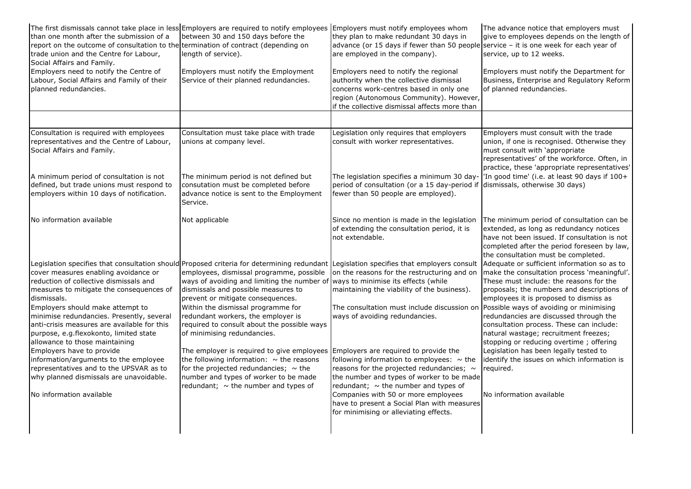| than one month after the submission of a<br>report on the outcome of consultation to the termination of contract (depending on<br>trade union and the Centre for Labour,<br>Social Affairs and Family.                                                                                                              | The first dismissals cannot take place in less Employers are required to notify employees Employers must notify employees whom<br>between 30 and 150 days before the<br>length of service).                                                                                                                                                                                                                                                                                                                  | they plan to make redundant 30 days in<br>advance (or 15 days if fewer than 50 people service - it is one week for each year of<br>are employed in the company).                                                                                                                                                           | The advance notice that employers must<br>give to employees depends on the length of<br>service, up to 12 weeks.                                                                                                                                                                                                                                                                                        |
|---------------------------------------------------------------------------------------------------------------------------------------------------------------------------------------------------------------------------------------------------------------------------------------------------------------------|--------------------------------------------------------------------------------------------------------------------------------------------------------------------------------------------------------------------------------------------------------------------------------------------------------------------------------------------------------------------------------------------------------------------------------------------------------------------------------------------------------------|----------------------------------------------------------------------------------------------------------------------------------------------------------------------------------------------------------------------------------------------------------------------------------------------------------------------------|---------------------------------------------------------------------------------------------------------------------------------------------------------------------------------------------------------------------------------------------------------------------------------------------------------------------------------------------------------------------------------------------------------|
| Employers need to notify the Centre of<br>Labour, Social Affairs and Family of their<br>planned redundancies.                                                                                                                                                                                                       | Employers must notify the Employment<br>Service of their planned redundancies.                                                                                                                                                                                                                                                                                                                                                                                                                               | Employers need to notify the regional<br>authority when the collective dismissal<br>concerns work-centres based in only one<br>region (Autonomous Community). However,<br>if the collective dismissal affects more than                                                                                                    | Employers must notify the Department for<br>Business, Enterprise and Regulatory Reform<br>of planned redundancies.                                                                                                                                                                                                                                                                                      |
|                                                                                                                                                                                                                                                                                                                     |                                                                                                                                                                                                                                                                                                                                                                                                                                                                                                              |                                                                                                                                                                                                                                                                                                                            |                                                                                                                                                                                                                                                                                                                                                                                                         |
| Consultation is required with employees<br>representatives and the Centre of Labour,<br>Social Affairs and Family.                                                                                                                                                                                                  | Consultation must take place with trade<br>unions at company level.                                                                                                                                                                                                                                                                                                                                                                                                                                          | Legislation only requires that employers<br>consult with worker representatives.                                                                                                                                                                                                                                           | Employers must consult with the trade<br>union, if one is recognised. Otherwise they<br>must consult with 'appropriate<br>representatives' of the workforce. Often, in<br>practice, these 'appropriate representatives'                                                                                                                                                                                 |
| A minimum period of consultation is not<br>defined, but trade unions must respond to<br>employers within 10 days of notification.                                                                                                                                                                                   | The minimum period is not defined but<br>consutation must be completed before<br>advance notice is sent to the Employment<br>Service.                                                                                                                                                                                                                                                                                                                                                                        | The legislation specifies a minimum 30 day-<br>period of consultation (or a 15 day-period if<br>fewer than 50 people are employed).                                                                                                                                                                                        | 'In good time' (i.e. at least 90 days if 100+<br>dismissals, otherwise 30 days)                                                                                                                                                                                                                                                                                                                         |
| No information available                                                                                                                                                                                                                                                                                            | Not applicable                                                                                                                                                                                                                                                                                                                                                                                                                                                                                               | Since no mention is made in the legislation<br>of extending the consultation period, it is<br>not extendable.                                                                                                                                                                                                              | The minimum period of consultation can be<br>extended, as long as redundancy notices<br>have not been issued. If consultation is not<br>completed after the period foreseen by law,<br>the consultation must be completed.                                                                                                                                                                              |
| cover measures enabling avoidance or<br>reduction of collective dismissals and<br>measures to mitigate the consequences of<br>dismissals.<br>Employers should make attempt to<br>minimise redundancies. Presently, several<br>anti-crisis measures are available for this<br>purpose, e.g.flexokonto, limited state | Legislation specifies that consultation should Proposed criteria for determining redundant Legislation specifies that employers consult<br>employees, dismissal programme, possible<br>ways of avoiding and limiting the number of ways to minimise its effects (while<br>dismissals and possible measures to<br>prevent or mitigate consequences.<br>Within the dismissal programme for<br>redundant workers, the employer is<br>required to consult about the possible ways<br>of minimising redundancies. | on the reasons for the restructuring and on<br>maintaining the viability of the business).<br>The consultation must include discussion on<br>ways of avoiding redundancies.                                                                                                                                                | Adequate or sufficient information so as to<br>make the consultation process 'meaningful'.<br>These must include: the reasons for the<br>proposals; the numbers and descriptions of<br>employees it is proposed to dismiss as<br>Possible ways of avoiding or minimising<br>redundancies are discussed through the<br>consultation process. These can include:<br>natural wastage; recruitment freezes; |
| allowance to those maintaining<br>Employers have to provide<br>information/arguments to the employee<br>representatives and to the UPSVAR as to<br>why planned dismissals are unavoidable.<br>No information available                                                                                              | The employer is required to give employees Employers are required to provide the<br>the following information: $\sim$ the reasons<br>for the projected redundancies; $\sim$ the<br>number and types of worker to be made<br>redundant; $\sim$ the number and types of                                                                                                                                                                                                                                        | following information to employees: $\sim$ the<br>reasons for the projected redundancies; $\sim$<br>the number and types of worker to be made<br>redundant; $\sim$ the number and types of<br>Companies with 50 or more employees<br>have to present a Social Plan with measures<br>for minimising or alleviating effects. | stopping or reducing overtime; offering<br>Legislation has been legally tested to<br>identify the issues on which information is<br>reauired.<br>No information available                                                                                                                                                                                                                               |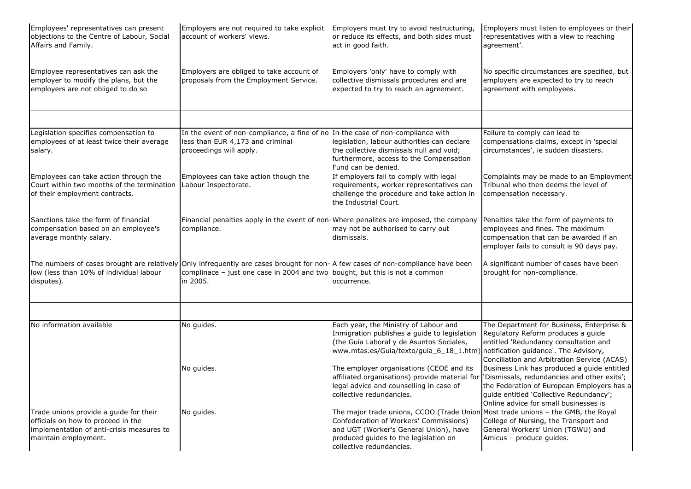| Employees' representatives can present<br>objections to the Centre of Labour, Social<br>Affairs and Family.                                       | Employers are not required to take explicit   Employers must try to avoid restructuring,<br>account of workers' views.                                                                                                     | or reduce its effects, and both sides must<br>act in good faith.                                                                                                                                                                          | Employers must listen to employees or their<br>representatives with a view to reaching<br>agreement'.                                                                                                                        |
|---------------------------------------------------------------------------------------------------------------------------------------------------|----------------------------------------------------------------------------------------------------------------------------------------------------------------------------------------------------------------------------|-------------------------------------------------------------------------------------------------------------------------------------------------------------------------------------------------------------------------------------------|------------------------------------------------------------------------------------------------------------------------------------------------------------------------------------------------------------------------------|
| Employee representatives can ask the<br>employer to modify the plans, but the<br>employers are not obliged to do so                               | Employers are obliged to take account of<br>proposals from the Employment Service.                                                                                                                                         | Employers 'only' have to comply with<br>collective dismissals procedures and are<br>expected to try to reach an agreement.                                                                                                                | No specific circumstances are specified, but<br>employers are expected to try to reach<br>agreement with employees.                                                                                                          |
|                                                                                                                                                   |                                                                                                                                                                                                                            |                                                                                                                                                                                                                                           |                                                                                                                                                                                                                              |
| Legislation specifies compensation to<br>employees of at least twice their average<br>salary.                                                     | In the event of non-compliance, a fine of no In the case of non-compliance with<br>less than EUR 4,173 and criminal<br>proceedings will apply.                                                                             | legislation, labour authorities can declare<br>the collective dismissals null and void;<br>furthermore, access to the Compensation<br>Fund can be denied.                                                                                 | Failure to comply can lead to<br>compensations claims, except in 'special<br>circumstances', ie sudden disasters.                                                                                                            |
| Employees can take action through the<br>Court within two months of the termination<br>of their employment contracts.                             | Employees can take action though the<br>Labour Inspectorate.                                                                                                                                                               | If employers fail to comply with legal<br>requirements, worker representatives can<br>challenge the procedure and take action in<br>the Industrial Court.                                                                                 | Complaints may be made to an Employment<br>Tribunal who then deems the level of<br>compensation necessary.                                                                                                                   |
| Sanctions take the form of financial<br>compensation based on an employee's<br>average monthly salary.                                            | compliance.                                                                                                                                                                                                                | Financial penalties apply in the event of non-Where penalites are imposed, the company Penalties take the form of payments to<br>may not be authorised to carry out<br>dismissals.                                                        | employees and fines. The maximum<br>compensation that can be awarded if an<br>employer fails to consult is 90 days pay.                                                                                                      |
| low (less than 10% of individual labour<br>disputes).                                                                                             | The numbers of cases brought are relatively Only infrequently are cases brought for non-A few cases of non-compliance have been<br>complinace – just one case in 2004 and two bought, but this is not a common<br>in 2005. | occurrence.                                                                                                                                                                                                                               | A significant number of cases have been<br>brought for non-compliance.                                                                                                                                                       |
|                                                                                                                                                   |                                                                                                                                                                                                                            |                                                                                                                                                                                                                                           |                                                                                                                                                                                                                              |
| No information available                                                                                                                          | No guides.                                                                                                                                                                                                                 | Each year, the Ministry of Labour and<br>Inmigration publishes a guide to legislation<br>(the Guía Laboral y de Asuntos Sociales,<br>www.mtas.es/Guia/texto/guia_6_18_1.htm) notification guidance'. The Advisory,                        | The Department for Business, Enterprise &<br>Regulatory Reform produces a guide<br>entitled 'Redundancy consultation and<br>Conciliation and Arbitration Service (ACAS)                                                      |
|                                                                                                                                                   | No guides.                                                                                                                                                                                                                 | The employer organisations (CEOE and its<br>affiliated organisations) provide material for<br>legal advice and counselling in case of<br>collective redundancies.                                                                         | Business Link has produced a quide entitled<br>'Dismissals, redundancies and other exits';<br>the Federation of European Employers has a<br>guide entitled 'Collective Redundancy';<br>Online advice for small businesses is |
| Trade unions provide a guide for their<br>officials on how to proceed in the<br>implementation of anti-crisis measures to<br>maintain employment. | No guides.                                                                                                                                                                                                                 | The major trade unions, CCOO (Trade Union Most trade unions - the GMB, the Royal<br>Confederation of Workers' Commissions)<br>and UGT (Worker's General Union), have<br>produced guides to the legislation on<br>collective redundancies. | College of Nursing, the Transport and<br>General Workers' Union (TGWU) and<br>Amicus - produce quides.                                                                                                                       |